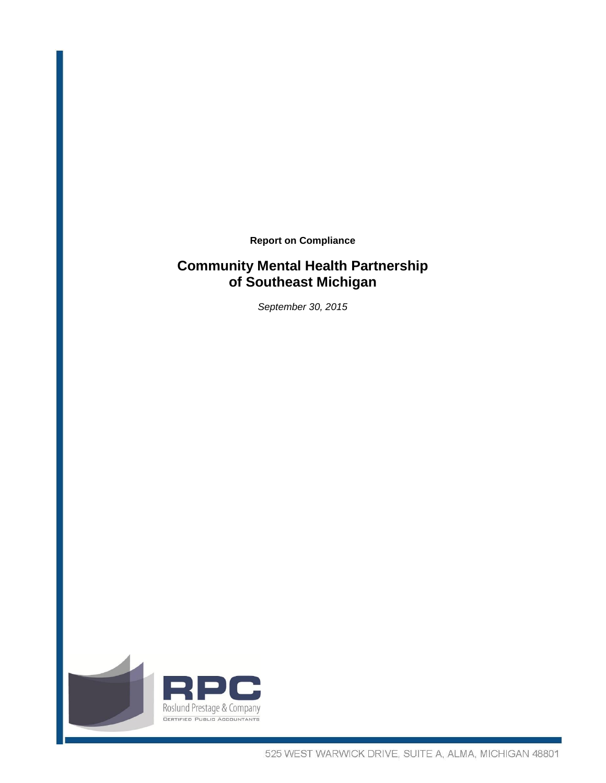**Report on Compliance**

# **Community Mental Health Partnership of Southeast Michigan**

*September 30, 2015*

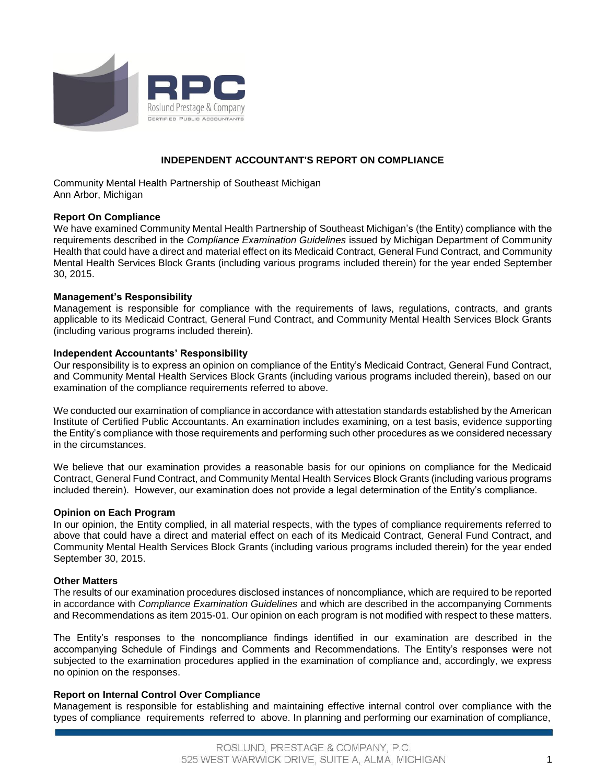

## **INDEPENDENT ACCOUNTANT'S REPORT ON COMPLIANCE**

Community Mental Health Partnership of Southeast Michigan Ann Arbor, Michigan

## **Report On Compliance**

We have examined Community Mental Health Partnership of Southeast Michigan's (the Entity) compliance with the requirements described in the *Compliance Examination Guidelines* issued by Michigan Department of Community Health that could have a direct and material effect on its Medicaid Contract, General Fund Contract, and Community Mental Health Services Block Grants (including various programs included therein) for the year ended September 30, 2015.

## **Management's Responsibility**

Management is responsible for compliance with the requirements of laws, regulations, contracts, and grants applicable to its Medicaid Contract, General Fund Contract, and Community Mental Health Services Block Grants (including various programs included therein).

## **Independent Accountants' Responsibility**

Our responsibility is to express an opinion on compliance of the Entity's Medicaid Contract, General Fund Contract, and Community Mental Health Services Block Grants (including various programs included therein), based on our examination of the compliance requirements referred to above.

We conducted our examination of compliance in accordance with attestation standards established by the American Institute of Certified Public Accountants. An examination includes examining, on a test basis, evidence supporting the Entity's compliance with those requirements and performing such other procedures as we considered necessary in the circumstances.

We believe that our examination provides a reasonable basis for our opinions on compliance for the Medicaid Contract, General Fund Contract, and Community Mental Health Services Block Grants (including various programs included therein). However, our examination does not provide a legal determination of the Entity's compliance.

## **Opinion on Each Program**

In our opinion, the Entity complied, in all material respects, with the types of compliance requirements referred to above that could have a direct and material effect on each of its Medicaid Contract, General Fund Contract, and Community Mental Health Services Block Grants (including various programs included therein) for the year ended September 30, 2015.

## **Other Matters**

The results of our examination procedures disclosed instances of noncompliance, which are required to be reported in accordance with *Compliance Examination Guidelines* and which are described in the accompanying Comments and Recommendations as item 2015-01. Our opinion on each program is not modified with respect to these matters.

The Entity's responses to the noncompliance findings identified in our examination are described in the accompanying Schedule of Findings and Comments and Recommendations. The Entity's responses were not subjected to the examination procedures applied in the examination of compliance and, accordingly, we express no opinion on the responses.

## **Report on Internal Control Over Compliance**

Management is responsible for establishing and maintaining effective internal control over compliance with the types of compliance requirements referred to above. In planning and performing our examination of compliance,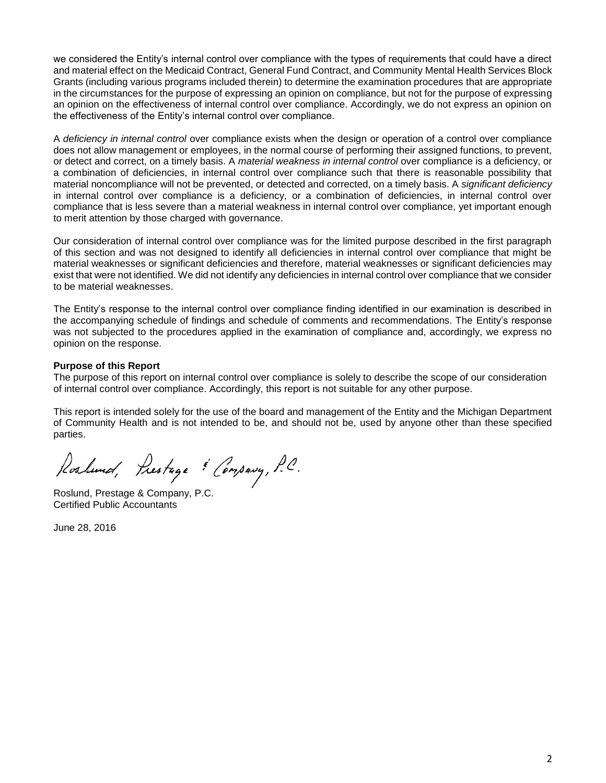we considered the Entity's internal control over compliance with the types of requirements that could have a direct and material effect on the Medicaid Contract, General Fund Contract, and Community Mental Health Services Block Grants (including various programs included therein) to determine the examination procedures that are appropriate in the circumstances for the purpose of expressing an opinion on compliance, but not for the purpose of expressing an opinion on the effectiveness of internal control over compliance. Accordingly, we do not express an opinion on the effectiveness of the Entity's internal control over compliance.

A *deficiency in internal control* over compliance exists when the design or operation of a control over compliance does not allow management or employees, in the normal course of performing their assigned functions, to prevent, or detect and correct, on a timely basis. A *material weakness in internal control* over compliance is a deficiency, or a combination of deficiencies, in internal control over compliance such that there is reasonable possibility that material noncompliance will not be prevented, or detected and corrected, on a timely basis. A *significant deficiency* in internal control over compliance is a deficiency, or a combination of deficiencies, in internal control over compliance that is less severe than a material weakness in internal control over compliance, yet important enough to merit attention by those charged with governance.

Our consideration of internal control over compliance was for the limited purpose described in the first paragraph of this section and was not designed to identify all deficiencies in internal control over compliance that might be material weaknesses or significant deficiencies and therefore, material weaknesses or significant deficiencies may exist that were not identified. We did not identify any deficiencies in internal control over compliance that we consider to be material weaknesses.

The Entity's response to the internal control over compliance finding identified in our examination is described in the accompanying schedule of findings and schedule of comments and recommendations. The Entity's response was not subjected to the procedures applied in the examination of compliance and, accordingly, we express no opinion on the response.

## **Purpose of this Report**

The purpose of this report on internal control over compliance is solely to describe the scope of our consideration of internal control over compliance. Accordingly, this report is not suitable for any other purpose.

This report is intended solely for the use of the board and management of the Entity and the Michigan Department of Community Health and is not intended to be, and should not be, used by anyone other than these specified parties.

Roslund, Prestage & Company, P.C.

Roslund, Prestage & Company, P.C. Certified Public Accountants

June 28, 2016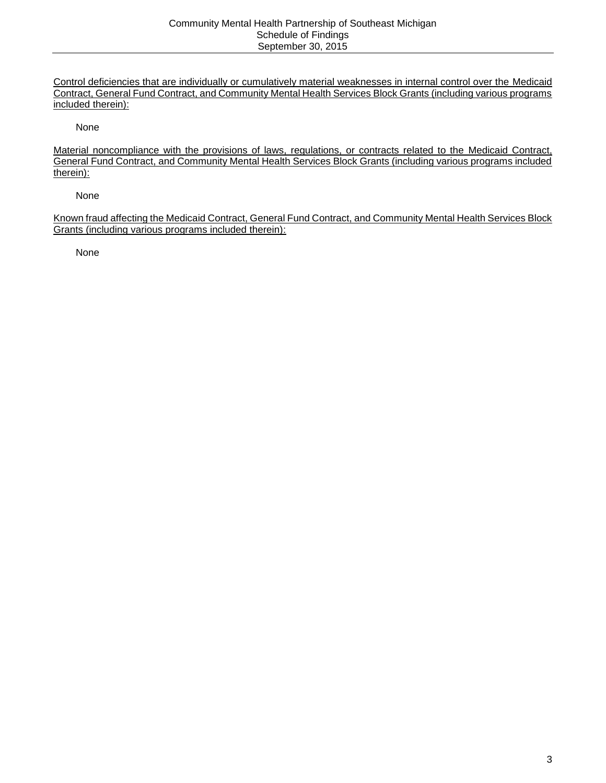Control deficiencies that are individually or cumulatively material weaknesses in internal control over the Medicaid Contract, General Fund Contract, and Community Mental Health Services Block Grants (including various programs included therein):

None

Material noncompliance with the provisions of laws, regulations, or contracts related to the Medicaid Contract, General Fund Contract, and Community Mental Health Services Block Grants (including various programs included therein):

None

Known fraud affecting the Medicaid Contract, General Fund Contract, and Community Mental Health Services Block Grants (including various programs included therein):

None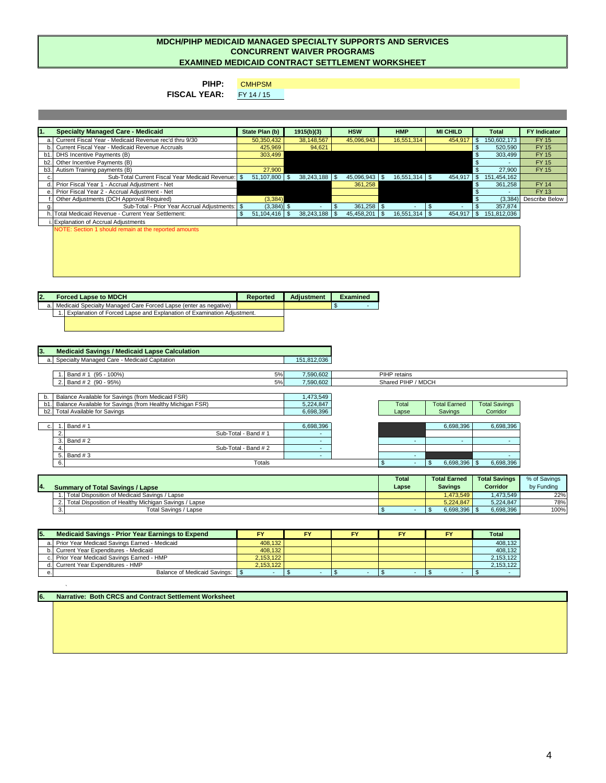**PIHP:** 

**CMHPSM** 

**FISCAL YEAR:** FY 14 / 15

**1. State Plan (b) 1915(b)(3) HSW HMP MI CHILD Total FY Indicator Specialty Managed Care - Medicaid** 

| a. Current Fiscal Year - Medicaid Revenue rec'd thru 9/30 | 50,350,432        | 38,148,567 | 45,096,943 | 16,551,314       |         |      | 150,602,173 | FY 15          |
|-----------------------------------------------------------|-------------------|------------|------------|------------------|---------|------|-------------|----------------|
| b. Current Fiscal Year - Medicaid Revenue Accruals        | 425,969           | 94,621     |            |                  |         |      | 520,590     | <b>FY 15</b>   |
| b1. DHS Incentive Payments (B)                            | 303,499           |            |            |                  |         |      | 303,499     | <b>FY 15</b>   |
| b2. Other Incentive Payments (B)                          |                   |            |            |                  |         |      |             | <b>FY 15</b>   |
| b3. Autism Training payments (B)                          | 27,900            |            |            |                  |         |      | 27,900      | <b>FY 15</b>   |
| Sub-Total Current Fiscal Year Medicaid Revenue:   \$      | $51,107,800$   \$ |            |            | $16,551,314$ \\$ | 454,917 |      | 151,454,162 |                |
| d. Prior Fiscal Year 1 - Accrual Adjustment - Net         |                   |            | 361,258    |                  |         |      | 361,258     | <b>FY 14</b>   |
| e. Prior Fiscal Year 2 - Accrual Adjustment - Net         |                   |            |            |                  |         |      |             | <b>FY 13</b>   |
| Other Adjustments (DCH Approval Required)                 | (3, 384)          |            |            |                  |         |      | (3,384)     | Describe Below |
| Sub-Total - Prior Year Accrual Adjustments: \$            | $(3,384)$ \$      |            |            |                  |         |      | 357,874     |                |
| Total Medicaid Revenue - Current Year Settlement:         |                   |            |            | $16,551,314$ \\$ | 454,917 | - 35 | 151,812,036 |                |
| Explanation of Accrual Adjustments                        |                   |            |            |                  |         |      |             |                |
| NOTE: Section 1 should remain at the reported amounts     |                   |            |            |                  |         |      |             |                |

|                                                       | <b>Total</b> | <b>Total Earned</b> | <b>Total Savings</b> | % of Savings |
|-------------------------------------------------------|--------------|---------------------|----------------------|--------------|
| <b>Summary of Total Savings / Lapse</b>               | Lapse        | <b>Savings</b>      | <b>Corridor</b>      | by Funding   |
| Total Disposition of Medicaid Savings / Lapse         |              | ,473,549            | .473,549             | 22%          |
| Total Disposition of Healthy Michigan Savings / Lapse |              | 5,224,847           | 5,224,847            | 78%          |
| Total Savings / Lapse                                 |              | 6,698,396           | 6,698,396            | 100%         |

**6. Narrative: Both CRCS and Contract Settlement Worksheet** 

 $\Delta$ 

| 12. | <b>Forced Lapse to MDCH</b>                                               | Reported | <b>Adjustment</b> | Examined |
|-----|---------------------------------------------------------------------------|----------|-------------------|----------|
| a.l | Medicaid Specialty Managed Care Forced Lapse (enter as negative)          |          |                   |          |
|     | I. Explanation of Forced Lapse and Explanation of Examination Adjustment. |          |                   |          |
|     |                                                                           |          |                   |          |
|     |                                                                           |          |                   |          |

| <b>Medicaid Savings / Medicaid Lapse Calculation</b>             |                          |                    |                             |                      |
|------------------------------------------------------------------|--------------------------|--------------------|-----------------------------|----------------------|
| Specialty Managed Care - Medicaid Capitation<br>a.               | 151,812,036              |                    |                             |                      |
|                                                                  |                          |                    |                             |                      |
| 5%<br>Band # 1 (95 - 100%)                                       | 7,590,602                | PIHP retains       |                             |                      |
| Band # 2 (90 - 95%)<br>2.<br>5%                                  | 7,590,602                | Shared PIHP / MDCH |                             |                      |
|                                                                  |                          |                    |                             |                      |
| Balance Available for Savings (from Medicaid FSR)<br>b.          | 1,473,549                |                    |                             |                      |
| Balance Available for Savings (from Healthy Michigan FSR)<br>b1. | 5,224,847                | <b>Total</b>       | <b>Total Earned</b>         | <b>Total Savings</b> |
| <b>Total Available for Savings</b><br>b2.                        | 6,698,396                | Lapse              | Savings                     | Corridor             |
|                                                                  |                          |                    |                             |                      |
| Band #1                                                          | 6,698,396                |                    | 6,698,396                   | 6,698,396            |
| $\overline{2}$<br>Sub-Total - Band # 1                           | $\overline{\phantom{a}}$ |                    |                             |                      |
| 3.<br>Band #2                                                    | ۰.                       |                    | $\sim$<br><b>CONTRACTOR</b> | <b>.</b>             |
| Sub-Total - Band # 2                                             | ۰.                       |                    |                             |                      |
| 5.<br>Band #3                                                    | $\overline{\phantom{a}}$ |                    |                             |                      |
| Totals                                                           |                          |                    | $6,698,396$ \$              | 6,698,396            |

# **MDCH/PIHP MEDICAID MANAGED SPECIALTY SUPPORTS AND SERVICES CONCURRENT WAIVER PROGRAMS EXAMINED MEDICAID CONTRACT SETTLEMENT WORKSHEET**

| 15. | <b>Medicaid Savings - Prior Year Earnings to Expend</b> |           |  | <b>FY</b> | Total     |
|-----|---------------------------------------------------------|-----------|--|-----------|-----------|
|     | a. Prior Year Medicaid Savings Earned - Medicaid        | 408,132   |  |           | 408.132   |
|     | b. Current Year Expenditures - Medicaid                 | 408,132   |  |           | 408,132   |
|     | c. Prior Year Medicaid Savings Earned - HMP             | 2,153,122 |  |           | 2,153,122 |
|     | d. Current Year Expenditures - HMP                      | 2,153,122 |  |           | 2,153,122 |
|     | <b>Balance of Medicaid Savings:</b>                     |           |  |           |           |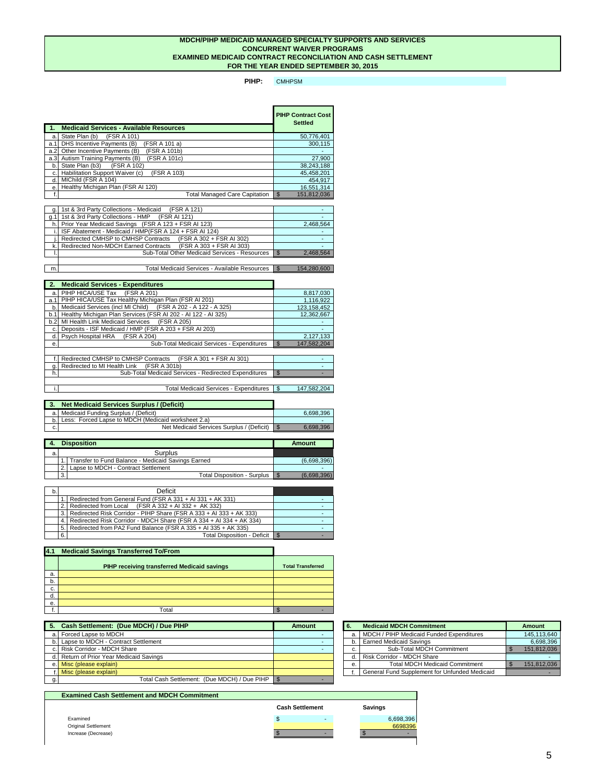**PIHP:**  CMHPSM

| 47               | <b>Medicaid Services - Available Resources</b>      | <b>PIHP Contract Cost</b><br><b>Settled</b> |
|------------------|-----------------------------------------------------|---------------------------------------------|
| a.l              | State Plan (b)<br>(FSR A 101)                       | 50,776,401                                  |
| a.1              | DHS Incentive Payments (B)<br>(FSR A 101 a)         | 300,115                                     |
| a.2              | Other Incentive Payments (B)<br>(FSR A 101b)        |                                             |
| a.3 <sub>l</sub> | <b>Autism Training Payments (B)</b><br>(FSR A 101c) | 27,900                                      |
| b.               | State Plan (b3)<br>(FSR A 102)                      | 38,243,188                                  |
| C.               | Habilitation Support Waiver (c)<br>(FSR A 103)      | 45,458,201                                  |
| d.               | MIChild (FSR A 104)                                 | 454,917                                     |
| e.               | Healthy Michigan Plan (FSR AI 120)                  | 16,551,314                                  |
|                  | <b>Total Managed Care Capitation</b>                | 151,812,036<br>\$                           |

| g. 1st & 3rd Party Collections - Medicaid<br>(FSR A 121)            |           |
|---------------------------------------------------------------------|-----------|
| g. 1   1st & 3rd Party Collections - $HMP$ (FSR AI 121)             |           |
| h. Prior Year Medicaid Savings (FSR A 123 + FSR AI 123)             | 2,468,564 |
| i. ISF Abatement - Medicaid / HMP(FSR A 124 + FSR AI 124)           |           |
| Redirected CMHSP to CMHSP Contracts (FSR A 302 + FSR AI 302)        |           |
| (FSR A 303 + FSR AI 303)<br>k. Redirected Non-MDCH Earned Contracts |           |
| <b>Sub-Total Other Medicaid Services - Resources</b>                | 2,468,564 |
|                                                                     |           |

m. Total Medicaid Services - Available Resources | \$154,280,600

# **MDCH/PIHP MEDICAID MANAGED SPECIALTY SUPPORTS AND SERVICES CONCURRENT WAIVER PROGRAMS FOR THE YEAR ENDED SEPTEMBER 30, 2015 EXAMINED MEDICAID CONTRACT RECONCILIATION AND CASH SETTLEMENT**

| 2.  | <b>Medicaid Services - Expenditures</b>                                |                              |
|-----|------------------------------------------------------------------------|------------------------------|
| a.l | PIHP HICA/USE Tax (FSR A 201)                                          | 8,817,030                    |
| a.1 | PIHP HICA/USE Tax Healthy Michigan Plan (FSR AI 201)                   | 1,116,922                    |
| b.  | Medicaid Services (incl MI Child) (FSR A 202 - A 122 - A 325)          | 123,158,452                  |
| b.1 | Healthy Michigan Plan Services (FSR AI 202 - AI 122 - AI 325)          | 12,362,667                   |
| b.2 | MI Health Link Medicaid Services (FSR A 205)                           |                              |
| C.  | Deposits - ISF Medicaid / HMP (FSR A 203 + FSR AI 203)                 |                              |
| d.  | Psych Hospital HRA (FSR A 204)                                         | 2,127,133                    |
| e.  | <b>Sub-Total Medicaid Services - Expenditures</b>                      | 147,582,204<br>$\mathcal{S}$ |
|     |                                                                        |                              |
|     | <b>Redirected CMHSP to CMHSP Contracts</b><br>(FSR A 301 + FSR AI 301) |                              |
|     | Redirected to MI Health Link<br>(FSR A 301b)                           |                              |
| h.  | <b>Sub-Total Medicaid Services - Redirected Expenditures</b>           | $\mathfrak{L}$               |
|     |                                                                        |                              |

|     | <b>Net Medicaid Services Surplus / (Deficit)</b>    |           |
|-----|-----------------------------------------------------|-----------|
|     | a. Medicaid Funding Surplus / (Deficit)             | 6,698,396 |
| b.1 | Less: Forced Lapse to MDCH (Medicaid worksheet 2.a) |           |
| c.  | Net Medicaid Services Surplus / (Deficit)           | 6,698,396 |

i.| https://www.filesong.com/induction/state-state of the Total Medicaid Services - Expenditures  $\sim$  \$147,582,204

|   | <b>Disposition</b>                                 | <b>Amount</b> |
|---|----------------------------------------------------|---------------|
| a | <b>Surplus</b>                                     |               |
|   | Transfer to Fund Balance - Medicaid Savings Earned | (6,698,396)   |
|   | Lapse to MDCH - Contract Settlement                |               |
|   | <b>Total Disposition - Surplus</b><br>3.           | (6,698,396)   |

| $\mathsf{b}$ |     | <b>Deficit</b>                                                      |  |
|--------------|-----|---------------------------------------------------------------------|--|
|              |     | Redirected from General Fund (FSR A 331 + AI 331 + AK 331)          |  |
|              |     | Redirected from Local $(FSR A 332 + AI 332 + AK 332)$               |  |
|              |     | Redirected Risk Corridor - PIHP Share (FSR A 333 + AI 333 + AK 333) |  |
|              |     | Redirected Risk Corridor - MDCH Share (FSR A 334 + AI 334 + AK 334) |  |
|              | 5.1 | Redirected from PA2 Fund Balance (FSR A 335 + AI 335 + AK 335)      |  |
|              | 6.  | Total Disposition - Deficit   \$                                    |  |

| 4.1 | <b>Medicaid Savings Transferred To/From</b>        |                          |
|-----|----------------------------------------------------|--------------------------|
|     | <b>PIHP receiving transferred Medicaid savings</b> | <b>Total Transferred</b> |
| a.  |                                                    |                          |
| b.  |                                                    |                          |
| C.  |                                                    |                          |
| d.  |                                                    |                          |
| e.  |                                                    |                          |
|     | Total                                              |                          |

| <b>Examined Cash Settlement and MDCH Commitment</b> |                        |                |
|-----------------------------------------------------|------------------------|----------------|
|                                                     | <b>Cash Settlement</b> | <b>Savings</b> |
| Examined                                            | S<br>-                 | 6,698,396      |
| <b>Original Settlement</b>                          |                        | 6698396        |
| Increase (Decrease)                                 |                        |                |
|                                                     |                        |                |

| <b>Cash Settlement: (Due MDCH) / Due PIHP</b>     | Amount | -6 | <b>Medicaid MDCH Commitment</b>                      | <b>Amount</b> |
|---------------------------------------------------|--------|----|------------------------------------------------------|---------------|
| a. Forced Lapse to MDCH                           |        | a. | <b>MDCH / PIHP Medicaid Funded Expenditures</b>      | 145,113,640   |
| b. Lapse to MDCH - Contract Settlement            |        |    | <b>Earned Medicaid Savings</b>                       | 6,698,396     |
| c. Risk Corridor - MDCH Share                     |        | U. | <b>Sub-Total MDCH Commitment</b>                     | 151,812,036   |
| d. Return of Prior Year Medicaid Savings          |        |    | Risk Corridor - MDCH Share                           |               |
| e. Misc (please explain)                          |        | е. | <b>Total MDCH Medicaid Commitment</b>                | 151,812,036   |
| f. Misc (please explain)                          |        |    | <b>General Fund Supplement for Unfunded Medicaid</b> |               |
| Total Cash Settlement: (Due MDCH) / Due PIHP   \$ |        |    |                                                      |               |

| 6. | <b>Medicaid MDCH Commitment</b>                      | <b>Amount</b> |
|----|------------------------------------------------------|---------------|
| a. | <b>MDCH / PIHP Medicaid Funded Expenditures</b>      | 145,113,640   |
|    | <b>Earned Medicaid Savings</b><br>b.                 | 6,698,396     |
| C. | Sub-Total MDCH Commitment                            | 151,812,036   |
| d. | <b>Risk Corridor - MDCH Share</b>                    |               |
| е. | <b>Total MDCH Medicaid Commitment</b>                | 151,812,036   |
|    | <b>General Fund Supplement for Unfunded Medicaid</b> |               |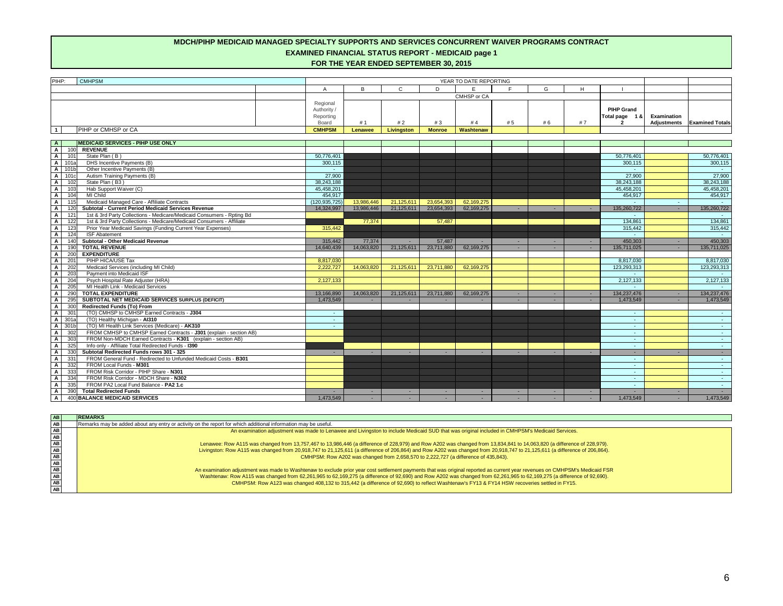# **MDCH/PIHP MEDICAID MANAGED SPECIALTY SUPPORTS AND SERVICES CONCURRENT WAIVER PROGRAMS CONTRACT EXAMINED FINANCIAL STATUS REPORT - MEDICAID page 1 FOR THE YEAR ENDED SEPTEMBER 30, 2015**

| PIHP:                            | <b>CMHPSM</b>                                                                    |                 |                |                   |               | YEAR TO DATE REPORTING |        |        |    |                   |                    |                               |
|----------------------------------|----------------------------------------------------------------------------------|-----------------|----------------|-------------------|---------------|------------------------|--------|--------|----|-------------------|--------------------|-------------------------------|
|                                  |                                                                                  | $\overline{A}$  | B              | $\mathsf{C}$      | D             | E                      | E      | G      | H  |                   |                    |                               |
|                                  |                                                                                  |                 |                |                   |               | CMHSP or CA            |        |        |    |                   |                    |                               |
|                                  |                                                                                  | Regional        |                |                   |               |                        |        |        |    |                   |                    |                               |
|                                  |                                                                                  | Authority /     |                |                   |               |                        |        |        |    | <b>PIHP Grand</b> |                    |                               |
|                                  |                                                                                  | Reporting       |                |                   |               |                        |        |        |    | Total page 1 &    | <b>Examination</b> |                               |
|                                  |                                                                                  | Board           | # 1            | #2                | #3            | #4                     | #5     | # 6    | #7 |                   |                    | Adjustments   Examined Totals |
| $\overline{1}$                   | PIHP or CMHSP or CA                                                              | <b>CMHPSM</b>   | <b>Lenawee</b> | <b>Livingston</b> | <b>Monroe</b> | Washtenaw              |        |        |    |                   |                    |                               |
|                                  |                                                                                  |                 |                |                   |               |                        |        |        |    |                   |                    |                               |
| $\mathsf{A}$                     | <b>MEDICAID SERVICES - PIHP USE ONLY</b>                                         |                 |                |                   |               |                        |        |        |    |                   |                    |                               |
| $\overline{A}$                   | 100<br><b>REVENUE</b><br>State Plan (B)                                          | 50,776,401      |                |                   |               |                        |        |        |    | 50,776,401        |                    |                               |
| $\mathsf{A}$<br>$\mathbf{A}$     | 101<br>101a<br>DHS Incentive Payments (B)                                        | 300,115         |                |                   |               |                        |        |        |    | 300,115           |                    | 50,776,401<br>300,115         |
| $\mathbf{A}$                     | 101b<br>Other Incentive Payments (B)                                             |                 |                |                   |               |                        |        |        |    |                   |                    |                               |
| $\mathbf{A}$                     | 101c<br>Autism Training Payments (B)                                             | 27,900          |                |                   |               |                        |        |        |    | 27,900            |                    | 27,900                        |
| $\blacktriangle$                 | 102<br>State Plan (B3)                                                           | 38,243,188      |                |                   |               |                        |        |        |    | 38,243,188        |                    | 38,243,188                    |
| $\blacktriangle$                 | 103<br>Hab Support Waiver (C)                                                    | 45,458,201      |                |                   |               |                        |        |        |    | 45,458,201        |                    | 45,458,201                    |
| $\mathsf{A}$                     | 104<br><b>MI Child</b>                                                           | 454,917         |                |                   |               |                        |        |        |    | 454,917           |                    | 454,917                       |
| $\mathbf{A}$                     | Medicaid Managed Care - Affiliate Contracts<br>115                               | (120, 935, 725) | 13,986,446     | 21,125,611        | 23,654,393    | 62,169,275             |        |        |    |                   |                    |                               |
| $\mathsf{A}$                     | <b>Subtotal - Current Period Medicaid Services Revenue</b><br>120                | 14,324,997      | 13,986,446     | 21,125,611        | 23,654,393    | 62,169,275             | ۰.     |        |    | 135,260,722       |                    | 135,260,722                   |
| $\mathsf{A}$                     | 121<br>1st & 3rd Party Collections - Medicare/Medicaid Consumers - Rpting Bd     |                 |                |                   |               |                        |        |        |    |                   |                    | $\sim 100$                    |
| $\mathsf{A}$                     | 122<br>1st & 3rd Party Collections - Medicare/Medicaid Consumers - Affiliate     |                 | 77,374         |                   | 57,487        |                        |        |        |    | 134,861           |                    | 134,861                       |
| $\mathsf{A}$                     | 123<br>Prior Year Medicaid Savings (Funding Current Year Expenses)               | 315,442         |                |                   |               |                        |        |        |    | 315,442           |                    | 315,442                       |
| $\mathbf{A}$                     | 124<br><b>ISF Abatement</b>                                                      |                 |                |                   |               |                        |        |        |    |                   |                    | <b>Contract</b>               |
| $\mathsf{A}$                     | <b>Subtotal - Other Medicaid Revenue</b><br>140                                  | 315,442         | 77,374         | $\sim$            | 57,487        |                        | $\sim$ | $\sim$ |    | 450,303           |                    | 450,303                       |
| $\mathbf{A}$                     | 190<br><b>TOTAL REVENUE</b>                                                      | 14,640,439      | 14,063,820     | 21,125,611        | 23,711,880    | 62,169,275             | $\sim$ |        |    | 135,711,025       |                    | 135,711,025                   |
| $\mathbf{A}$                     | <b>EXPENDITURE</b><br>200                                                        |                 |                |                   |               |                        |        |        |    |                   |                    |                               |
| $\mathbf{A}$                     | PIHP HICA/USE Tax<br>201                                                         | 8,817,030       |                |                   |               |                        |        |        |    | 8,817,030         |                    | 8,817,030                     |
| $\mathbf{A}$                     | 202<br>Medicaid Services (including MI Child)                                    | 2,222,727       | 14,063,820     | 21,125,611        | 23,711,880    | 62,169,275             |        |        |    | 123,293,313       |                    | 123,293,313                   |
| $\overline{A}$                   | $\overline{203}$<br>Payment into Medicaid ISF                                    |                 |                |                   |               |                        |        |        |    |                   |                    |                               |
| $\mathbf{A}$                     | 204<br>Psych Hospital Rate Adjuster (HRA)                                        | 2,127,133       |                |                   |               |                        |        |        |    | 2,127,133         |                    | 2,127,133                     |
| $\mathsf{A}$                     | MI Health Link - Medicaid Services<br>205                                        |                 |                |                   |               |                        |        |        |    |                   |                    |                               |
| $\overline{A}$                   | 290<br><b>TOTAL EXPENDITURE</b>                                                  | 13,166,890      | 14,063,820     | 21,125,611        | 23,711,880    | 62,169,275             | ٠      | н.     |    | 134,237,476       |                    | 134,237,476                   |
| $\mathbf{A}$                     | SUBTOTAL NET MEDICAID SERVICES SURPLUS (DEFICIT)<br>295                          | 1,473,549       |                |                   |               |                        |        |        |    | 1,473,549         |                    | 1,473,549                     |
| $\mathsf{A}$                     | 300<br><b>Redirected Funds (To) From</b>                                         |                 |                |                   |               |                        |        |        |    |                   |                    |                               |
| $\overline{A}$                   | 301<br>(TO) CMHSP to CMHSP Earned Contracts - J304                               | <b>Albert</b>   |                |                   |               |                        |        |        |    | $\sim$            |                    | <b>Contract</b>               |
| $A \quad 301a$<br>$\mathsf{A}$   | (TO) Healthy Michigan - AI310<br>(TO) MI Health Link Services (Medicare) - AK310 | $\sim$ 10 $\pm$ |                |                   |               |                        |        |        |    | <b>Contract</b>   |                    | $\sim 100$                    |
| 301 <sub>b</sub><br>$\mathbf{A}$ | 302<br>FROM CMHSP to CMHSP Earned Contracts - J301 (explain - section AB)        | $\sim$ 10 $\pm$ |                |                   |               |                        |        |        |    | <b>College</b>    |                    | $\sim 100$                    |
| $\mathbf{A}$                     | 303<br>FROM Non-MDCH Earned Contracts - K301 (explain - section AB)              |                 |                |                   |               |                        |        |        |    | $\sim$ 10 $\pm$   |                    | $\sim 100$<br>$\sim 100$      |
| $\mathsf{A}$                     | 325<br>Info only - Affiliate Total Redirected Funds - 1390                       |                 |                |                   |               |                        |        |        |    | <b>умер</b>       |                    | $\sim 100$                    |
| $\mathbf{A}$                     | 330<br>Subtotal Redirected Funds rows 301 - 325                                  | $\sim$          |                |                   |               |                        |        |        |    | $\sim$            |                    | $\sim 100$                    |
| $\overline{A}$                   | 331<br>FROM General Fund - Redirected to Unfunded Medicaid Costs - B301          |                 |                |                   |               |                        |        |        |    | <b>Contract</b>   |                    | $\sim 100$                    |
| $\mathsf{A}$                     | 332<br>FROM Local Funds - M301                                                   |                 |                |                   |               |                        |        |        |    | <b>Contract</b>   |                    | $\sim 100$                    |
| $\mathbf{A}$                     | FROM Risk Corridor - PIHP Share - N301<br>333                                    |                 |                |                   |               |                        |        |        |    | <b>Contract</b>   |                    | $\sim 100$                    |
| $\mathbf{A}$                     | 334<br>FROM Risk Corridor - MDCH Share - N302                                    |                 |                |                   |               |                        |        |        |    | <b>Contract</b>   |                    | $\sim 100$                    |
| $\overline{A}$                   | 335<br>FROM PA2 Local Fund Balance - PA2 1.c                                     |                 |                |                   |               |                        |        |        |    |                   |                    | $\sim 100$                    |
| $\mathsf{A}$                     | 390<br><b>Total Redirected Funds</b>                                             |                 | $\sim$         | $\sim$            | $\sim$        | $\sim$                 | $\sim$ | $\sim$ |    |                   |                    |                               |
| $\mathsf{A}$                     | 400 BALANCE MEDICAID SERVICES                                                    | 1,473,549       |                |                   |               |                        |        |        |    | 1,473,549         |                    | 1,473,549                     |

| <b>AB</b>              | <b>REMARKS</b>                                                                                                                                                             |
|------------------------|----------------------------------------------------------------------------------------------------------------------------------------------------------------------------|
| AB                     | Remarks may be added about any entry or activity on the report for which additional information may be useful.                                                             |
| AB                     | An examination adjustment was made to Lenawee and Livingston to include Medicaid SUD that was original included in CMHPSM's Medicaid Services.                             |
| AB<br><b>AB</b>        | Lenawee: Row A115 was changed from 13,757,467 to 13,986,446 (a difference of 228,979) and Row A202 was changed from 13,834,841 to 14,063,820 (a difference of 228,979).    |
| <b>AB</b>              | Livingston: Row A115 was changed from 20,918,747 to 21,125,611 (a difference of 206,864) and Row A202 was changed from 20,918,747 to 21,125,611 (a difference of 206,864)  |
| <b>AB</b>              | CMHPSM: Row A202 was changed from 2,658,570 to 2,222,727 (a difference of 435,843).                                                                                        |
| <b>AB</b><br><b>AB</b> | An examination adjustment was made to Washtenaw to exclude prior year cost settlement payments that was original reported as current year revenues on CMHPSM's Medicaid FS |
| AB                     | Washtenaw: Row A115 was changed from 62,261,965 to 62,169,275 (a difference of 92,690) and Row A202 was changed from 62,261,965 to 62,169,275 (a difference of 92,690).    |
| AB                     | CMHPSM: Row A123 was changed 408,132 to 315,442 (a difference of 92,690) to reflect Washtenaw's FY13 & FY14 HSW recoveries settled in FY15.                                |
| AB                     |                                                                                                                                                                            |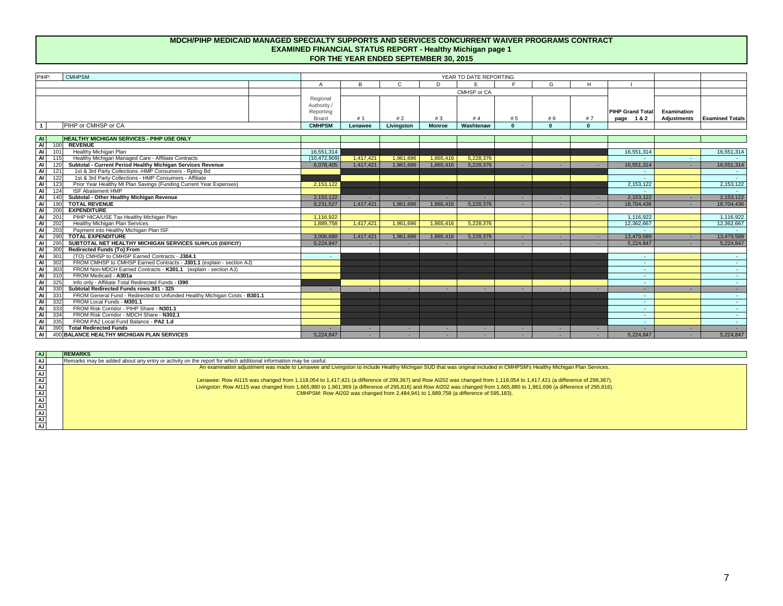| PIHP:                 | <b>CMHPSM</b>                                                                        | YEAR TO DATE REPORTING |           |               |               |             |          |              |          |                         |                    |                        |
|-----------------------|--------------------------------------------------------------------------------------|------------------------|-----------|---------------|---------------|-------------|----------|--------------|----------|-------------------------|--------------------|------------------------|
|                       |                                                                                      |                        | <b>B</b>  | $\mathcal{C}$ | D             | E           | E.       | G            |          |                         |                    |                        |
|                       |                                                                                      |                        |           |               |               | CMHSP or CA |          |              |          |                         |                    |                        |
|                       |                                                                                      | Regional               |           |               |               |             |          |              |          |                         |                    |                        |
|                       |                                                                                      | Authority /            |           |               |               |             |          |              |          |                         |                    |                        |
|                       |                                                                                      | Reporting              |           |               |               |             |          |              |          | <b>PIHP Grand Total</b> | <b>Examination</b> |                        |
|                       |                                                                                      | <b>Board</b>           | #1        | #2            | #3            | #4          | # 5      | # 6          | #7       | page 1&2                | <b>Adjustments</b> | <b>Examined Totals</b> |
| $\overline{1}$        | <b>PIHP or CMHSP or CA</b>                                                           | <b>CMHPSM</b>          | Lenawee   | Livingston    | <b>Monroe</b> | Washtenaw   | $\Omega$ | $\mathbf{0}$ | $\Omega$ |                         |                    |                        |
|                       |                                                                                      |                        |           |               |               |             |          |              |          |                         |                    |                        |
| $\overline{A}$        | <b>HEALTHY MICHIGAN SERVICES - PIHP USE ONLY</b>                                     |                        |           |               |               |             |          |              |          |                         |                    |                        |
| $\overline{A}$<br>100 | <b>REVENUE</b>                                                                       |                        |           |               |               |             |          |              |          |                         |                    |                        |
| $\overline{A}$<br>101 | <b>Healthy Michigan Plan</b>                                                         | 16,551,314             |           |               |               |             |          |              |          | 16,551,314              |                    | 16,551,314             |
| $\overline{A}$<br>115 | Healthy Michigan Managed Care - Affiliate Contracts                                  | (10, 472, 909)         | 1,417,421 | 1,961,696     | 1,865,416     | 5,228,376   |          |              |          |                         |                    |                        |
| $\overline{A}$<br>120 | Subtotal - Current Period Healthy Michigan Services Revenue                          | 6,078,405              | 1,417,421 | 1,961,696     | 1,865,416     | 5,228,376   |          |              |          | 16,551,314              |                    | 16,551,314             |
| $\overline{A}$<br>121 | 1st & 3rd Party Collections - HMP Consumers - Rpting Bd                              |                        |           |               |               |             |          |              |          | $\sim$                  |                    | $\sim 100$             |
| $\overline{A}$<br>122 | 1st & 3rd Party Collections - HMP Consumers - Affiliate                              |                        |           |               |               |             |          |              |          | $\sim$                  |                    |                        |
| $\overline{A}$<br>123 | Prior Year Healthy MI Plan Savings (Funding Current Year Expenses)                   | 2,153,122              |           |               |               |             |          |              |          | 2,153,122               |                    | 2,153,122              |
| $\overline{A}$<br>124 | <b>ISF Abatement HMP</b>                                                             |                        |           |               |               |             |          |              |          |                         |                    |                        |
| $\overline{A}$<br>140 | <b>Subtotal - Other Healthy Michigan Revenue</b>                                     | 2,153,122              |           |               |               |             |          |              |          | 2,153,122               |                    | 2,153,122              |
| $\blacksquare$<br>190 | <b>TOTAL REVENUE</b>                                                                 | 8,231,527              | 1,417,421 | 1,961,696     | 1,865,416     | 5,228,376   |          |              |          | 18,704,436              |                    | 18,704,436             |
| $\overline{A}$<br>200 | <b>EXPENDITURE</b>                                                                   |                        |           |               |               |             |          |              |          |                         |                    |                        |
| $\overline{A}$<br>201 | PIHP HICA/USE Tax Healthy Michigan Plan                                              | 1,116,922              |           |               |               |             |          |              |          | 1,116,922               |                    | 1,116,922              |
| $\overline{A}$<br>202 | <b>Healthy Michigan Plan Services</b>                                                | 1,889,758              | 1,417,421 | 1,961,696     | 1,865,416     | 5,228,376   |          |              |          | 12,362,667              |                    | 12,362,667             |
| $\overline{A}$<br>203 | Payment into Healthy Michigan Plan ISF                                               |                        |           |               |               |             |          |              |          | $\sim$                  |                    |                        |
| $\overline{A}$<br>290 | <b>TOTAL EXPENDITURE</b>                                                             | 3,006,680              | 1,417,421 | 1,961,696     | 1,865,416     | 5,228,376   |          |              |          | 13,479,589              |                    | 13,479,589             |
| $\overline{A}$<br>295 | SUBTOTAL NET HEALTHY MICHIGAN SERVICES SURPLUS (DEFICIT)                             | 5,224,847              |           |               |               |             |          |              |          | 5,224,847               |                    | 5,224,847              |
| $\overline{A}$<br>300 | <b>Redirected Funds (To) From</b>                                                    |                        |           |               |               |             |          |              |          |                         |                    |                        |
| $\overline{A}$<br>301 | (TO) CMHSP to CMHSP Earned Contracts - J304.1                                        |                        |           |               |               |             |          |              |          | $\sim$                  |                    |                        |
| $\overline{M}$<br>302 | FROM CMHSP to CMHSP Earned Contracts - J301.1 (explain - section AJ)                 |                        |           |               |               |             |          |              |          | $\sim$                  |                    |                        |
| $\overline{A}$<br>303 | FROM Non-MDCH Earned Contracts - K301.1 (explain - section AJ)                       |                        |           |               |               |             |          |              |          | $\sim$ 10 $\pm$         |                    | $\sim 10^{-11}$        |
| $\overline{A}$<br>310 | FROM Medicaid - A301a                                                                |                        |           |               |               |             |          |              |          | $\sim$                  |                    | $\sim 10^{-1}$         |
| $\overline{A}$<br>325 | Info only - Affiliate Total Redirected Funds - 1390                                  |                        |           |               |               |             |          |              |          | $\sim$                  |                    | <b>Contract</b>        |
| $\overline{A}$<br>330 | Subtotal Redirected Funds rows 301 - 325                                             |                        |           |               |               |             |          |              |          | н.                      |                    | $\sim$                 |
| $\overline{A}$<br>331 | FROM General Fund - Redirected to Unfunded Healthy Michigan Costs - B301.1           |                        |           |               |               |             |          |              |          | $\sim$                  |                    | $\sim$ 10 $\pm$        |
| $\overline{A}$<br>332 | FROM Local Funds - M301.1                                                            |                        |           |               |               |             |          |              |          | $\sim$ 10 $\pm$         |                    | <b>Contract</b>        |
| $\overline{A}$<br>333 | FROM Risk Corridor - PIHP Share - N301.1<br>FROM Risk Corridor - MDCH Share - N302.1 |                        |           |               |               |             |          |              |          | $\sim$ 1                |                    | $\sim 10^{-11}$        |
| $\overline{A}$<br>334 |                                                                                      |                        |           |               |               |             |          |              |          | $\sim$                  |                    | $\sim$ $-$             |
| $\overline{A}$<br>335 | FROM PA2 Local Fund Balance - PA2 1.d                                                |                        |           |               |               |             |          |              |          | $\sim$                  |                    | <b>Contract</b>        |
| $\overline{A}$<br>390 | <b>Total Redirected Funds</b>                                                        |                        |           | $\sim$        |               |             |          |              |          |                         |                    |                        |
| $\overline{A}$        | 400 BALANCE HEALTHY MICHIGAN PLAN SERVICES                                           | 5,224,847              |           | $\sim$        | н.            |             |          |              |          | 5,224,847               |                    | 5,224,847              |

| AJ              | <b>REMARKS</b>                                                                                                                                                           |
|-----------------|--------------------------------------------------------------------------------------------------------------------------------------------------------------------------|
| AJ              | Remarks may be added about any entry or activity on the report for which additional information may be useful.                                                           |
| AJ              | An examination adjustment was made to Lenawee and Livingston to include Healthy Michigan SUD that was original included in CMHPSM's Healthy Michigan Plan Services.      |
| $\overline{AJ}$ |                                                                                                                                                                          |
|                 | Lenawee: Row Al115 was changed from 1,118,054 to 1,417,421 (a difference of 299,367) and Row Al202 was changed from 1,118,054 to 1,417,421 (a difference of 299,367).    |
|                 | Livingston: Row Al115 was changed from 1,665,880 to 1,961,969 (a difference of 295,816) and Row Al202 was changed from 1,665,880 to 1,961,696 (a difference of 295,816). |
|                 | CMHPSM: Row AI202 was changed from 2,484,941 to 1,889,758 (a difference of 595,183).                                                                                     |
|                 |                                                                                                                                                                          |
|                 |                                                                                                                                                                          |
|                 |                                                                                                                                                                          |
|                 |                                                                                                                                                                          |
|                 |                                                                                                                                                                          |

# **MDCH/PIHP MEDICAID MANAGED SPECIALTY SUPPORTS AND SERVICES CONCURRENT WAIVER PROGRAMS CONTRACT EXAMINED FINANCIAL STATUS REPORT - Healthy Michigan page 1 FOR THE YEAR ENDED SEPTEMBER 30, 2015**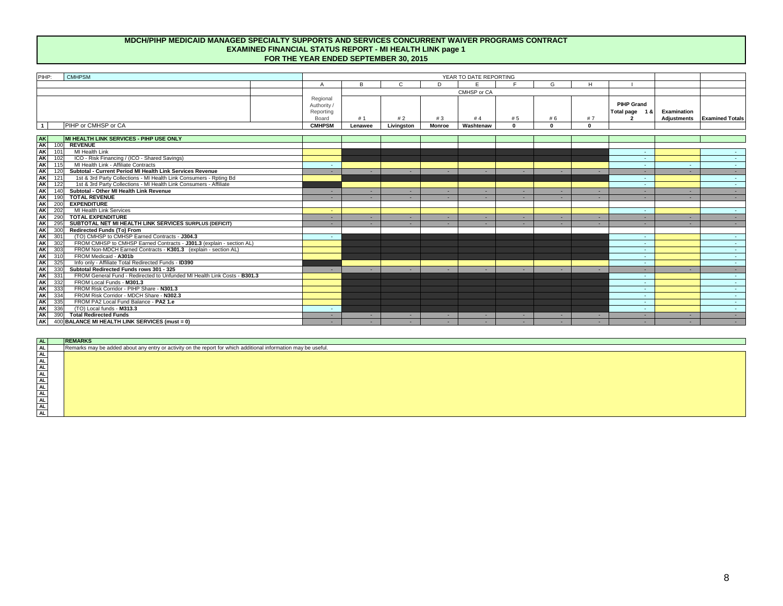| AL        | <b>REMARKS</b>                                                                                                 |
|-----------|----------------------------------------------------------------------------------------------------------------|
| <b>AL</b> | Remarks may be added about any entry or activity on the report for which additional information may be useful. |
| <b>AL</b> |                                                                                                                |
| AL        |                                                                                                                |
| AL        |                                                                                                                |
| AL        |                                                                                                                |
| AL        |                                                                                                                |
| AL        |                                                                                                                |
| AL        |                                                                                                                |
| AL        |                                                                                                                |
| AL        |                                                                                                                |
| <b>AL</b> |                                                                                                                |
|           |                                                                                                                |

| PIHP:<br><b>CMHPSM</b>                                                                       | YEAR TO DATE REPORTING                               |                |              |               |             |            |          |             |                                                       |                    |                               |
|----------------------------------------------------------------------------------------------|------------------------------------------------------|----------------|--------------|---------------|-------------|------------|----------|-------------|-------------------------------------------------------|--------------------|-------------------------------|
|                                                                                              | A                                                    | B              | $\mathsf{C}$ | D.            | E           | F.         | G        | H           |                                                       |                    |                               |
|                                                                                              |                                                      |                |              |               | CMHSP or CA |            |          |             |                                                       |                    |                               |
|                                                                                              | Regional<br>Authority /<br>Reporting<br><b>Board</b> | #1             | #2           | #3            | #4          | # 5        | # 6      | #7          | <b>PIHP Grand</b><br>Total page 1 &<br>$\overline{2}$ | <b>Examination</b> | Adjustments   Examined Totals |
| <b>PIHP or CMHSP or CA</b><br>$\overline{1}$                                                 | <b>CMHPSM</b>                                        | Lenawee        | Livingston   | <b>Monroe</b> | Washtenaw   | $\bf{0}$   | $\Omega$ | $\mathbf 0$ |                                                       |                    |                               |
|                                                                                              |                                                      |                |              |               |             |            |          |             |                                                       |                    |                               |
| AK<br><b>MI HEALTH LINK SERVICES - PIHP USE ONLY</b>                                         |                                                      |                |              |               |             |            |          |             |                                                       |                    |                               |
| <b>AK</b><br><b>REVENUE</b><br>100                                                           |                                                      |                |              |               |             |            |          |             |                                                       |                    |                               |
| <b>AK</b><br>MI Health Link<br>101                                                           |                                                      |                |              |               |             |            |          |             | $\sim$ 10 $\pm$                                       |                    |                               |
| <b>AK</b><br>ICO - Risk Financing / (ICO - Shared Savings)<br>102                            |                                                      |                |              |               |             |            |          |             | $\sim$ 10 $\pm$                                       |                    |                               |
| <b>AK</b><br>115<br>MI Health Link - Affiliate Contracts                                     |                                                      |                |              |               |             |            |          |             | $\sim$ 10 $\pm$                                       |                    | $\sim 100$                    |
| <b>AK</b><br>120<br>Subtotal - Current Period MI Health Link Services Revenue                |                                                      |                | $\sim$       | $\sim$        | $\sim$      | $\sim$     | $\sim$   | $\sim$      | $\sim$ 10 $\pm$                                       | $\sim$             | $\sim 100$                    |
| <b>AK</b><br>1st & 3rd Party Collections - MI Health Link Consumers - Rpting Bd<br>121       |                                                      |                |              |               |             |            |          |             | $\sim 100$                                            |                    | $\sim 100$                    |
| <b>AK</b><br>1st & 3rd Party Collections - MI Health Link Consumers - Affiliate<br>122       |                                                      |                |              |               |             |            |          |             | $\sim 100$                                            |                    | $\sim 100$                    |
| <b>AK</b><br>140<br><b>Subtotal - Other MI Health Link Revenue</b>                           |                                                      |                | $\sim$       | ÷             | $\sim$      | $\sim$     | $\sim$   |             | $\sim 100$                                            |                    | $\sim 100$                    |
| <b>AK</b><br>190<br><b>TOTAL REVENUE</b>                                                     |                                                      |                | $\sim$       |               |             |            |          |             | $\sim$                                                |                    | $\sim 100$                    |
| <b>AK</b><br>200<br><b>EXPENDITURE</b>                                                       |                                                      |                |              |               |             |            |          |             |                                                       |                    |                               |
| <b>AK</b><br>202<br><b>MI Health Link Services</b>                                           |                                                      |                |              |               |             |            |          |             | $\sim 10$                                             |                    | $\sim 100$                    |
| <b>AK</b><br><b>TOTAL EXPENDITURE</b><br>290                                                 |                                                      |                | $\sim$       | н.            | н.          | <b>COL</b> | $\sim$   | $\sim$      | $\sim$ 10 $\pm$                                       | $\sim$             | $\sim 100$                    |
| <b>AK</b><br>SUBTOTAL NET MI HEALTH LINK SERVICES SURPLUS (DEFICIT)<br>295                   |                                                      |                |              |               |             |            |          |             | $\sim$ 10 $\pm$                                       |                    | $\sim$ 100 $\pm$              |
| <b>AK</b><br><b>Redirected Funds (To) From</b><br>300                                        |                                                      |                |              |               |             |            |          |             |                                                       |                    |                               |
| <b>AK</b><br>(TO) CMHSP to CMHSP Earned Contracts - J304.3<br>301                            | $\sim$                                               |                |              |               |             |            |          |             | $\sim$ 10 $\pm$                                       |                    | $\sim 100$                    |
| AK<br>AK<br>302<br>FROM CMHSP to CMHSP Earned Contracts - J301.3 (explain - section AL)      |                                                      |                |              |               |             |            |          |             | $\sim$ 10 $\pm$                                       |                    | $\sim 100$                    |
| 303<br>FROM Non-MDCH Earned Contracts - K301.3 (explain - section AL)                        |                                                      |                |              |               |             |            |          |             | $\sim 100$                                            |                    | $\sim 100$                    |
| AK<br>310<br>FROM Medicaid - A301b                                                           |                                                      |                |              |               |             |            |          |             | $\sim 100$                                            |                    | $\sim 100$                    |
| <b>AK</b><br>325<br>Info only - Affiliate Total Redirected Funds - ID390                     |                                                      |                |              |               |             |            |          |             | <b>Section</b>                                        |                    | <b>Service</b>                |
| <b>AK</b><br>Subtotal Redirected Funds rows 301 - 325<br>330                                 |                                                      |                | $\sim$       | $\sim$        | $\sim$      | $\sim$     | $\sim$   |             | $\sim 100$                                            | н.                 | <b>Service</b>                |
| <b>AK</b><br>331<br>FROM General Fund - Redirected to Unfunded MI Health Link Costs - B301.3 |                                                      |                |              |               |             |            |          |             | $\sim$ 10 $\pm$                                       |                    | $\sim 100$                    |
| <b>AK</b><br>332<br>FROM Local Funds - M301.3                                                |                                                      |                |              |               |             |            |          |             | $\sim 10$                                             |                    | $\sim 100$                    |
| AK<br>333<br>FROM Risk Corridor - PIHP Share - N301.3                                        |                                                      |                |              |               |             |            |          |             | <b>Section</b>                                        |                    | $\sim 100$                    |
| <b>AK</b><br>FROM Risk Corridor - MDCH Share - N302.3<br>334                                 |                                                      |                |              |               |             |            |          |             | <b>Contract</b>                                       |                    | <b>Service</b>                |
| AK<br>FROM PA2 Local Fund Balance - PA2 1.e<br>335                                           |                                                      |                |              |               |             |            |          |             | <b>Section</b>                                        |                    | <b>Service</b>                |
| <b>AK</b><br>336<br>(TO) Local funds - M313.3                                                |                                                      |                |              |               |             |            |          |             | $\sim$ 10 $\pm$                                       |                    | $\sim 100$                    |
| <b>AK</b><br><b>Total Redirected Funds</b><br>390                                            |                                                      | <b>COLLEGE</b> | . п.         | . п.          | . п.        | $\sim$     | $\sim$   | <b>COL</b>  | $\sim$                                                | н.                 | $\sim 100$                    |
| <b>AK</b><br>400 BALANCE MI HEALTH LINK SERVICES (must = 0)                                  |                                                      | <b>COLLEGE</b> | н.           | <u>. на п</u> | н.          | . п.       | $\sim$   | <b>COL</b>  | $\sim$                                                |                    | $\sim 100$                    |

# **MDCH/PIHP MEDICAID MANAGED SPECIALTY SUPPORTS AND SERVICES CONCURRENT WAIVER PROGRAMS CONTRACT FOR THE YEAR ENDED SEPTEMBER 30, 2015 EXAMINED FINANCIAL STATUS REPORT - MI HEALTH LINK page 1**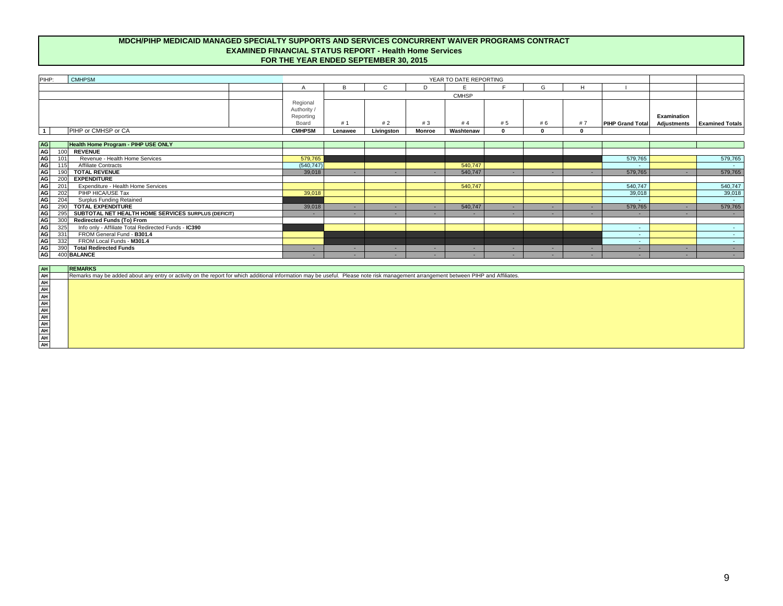| PIHP:                                                                                                                                                                               |                    |                        |
|-------------------------------------------------------------------------------------------------------------------------------------------------------------------------------------|--------------------|------------------------|
| <b>CMHPSM</b><br>YEAR TO DATE REPORTING                                                                                                                                             |                    |                        |
| E<br>B<br>$\mathsf{C}$<br>F<br>G<br>H<br>D<br>A                                                                                                                                     |                    |                        |
| <b>CMHSP</b>                                                                                                                                                                        |                    |                        |
| Regional                                                                                                                                                                            |                    |                        |
| Authority /                                                                                                                                                                         |                    |                        |
| Reporting                                                                                                                                                                           | <b>Examination</b> |                        |
| Board<br>#1<br>#2<br># 5<br>#7<br>#3<br>#4<br>#6<br><b>PIHP Grand Total</b>                                                                                                         | <b>Adjustments</b> | <b>Examined Totals</b> |
| PIHP or CMHSP or CA<br>$\overline{\mathbf{1}}$<br><b>CMHPSM</b><br>Livingston<br><b>Monroe</b><br>Washtenaw<br>$\mathbf 0$<br>$\mathbf{0}$<br>$\mathbf 0$<br>Lenawee                |                    |                        |
|                                                                                                                                                                                     |                    |                        |
| Health Home Program - PIHP USE ONLY                                                                                                                                                 |                    |                        |
| <b>REVENUE</b><br>100                                                                                                                                                               |                    |                        |
| Revenue - Health Home Services<br>579,765<br>101<br>579,765                                                                                                                         |                    | 579,765                |
| $\overline{115}$<br><b>Affiliate Contracts</b><br>(540, 747)<br>540,747                                                                                                             |                    | $\sim 100$             |
| 190<br><b>TOTAL REVENUE</b><br>540,747<br>39,018<br>579,765<br>$\sim$ $-$<br>$\sim$<br>$\sim$<br>$\sim$<br><b>COL</b><br>۰.                                                         | н.                 | 579,765                |
| 200<br><b>EXPENDITURE</b>                                                                                                                                                           |                    |                        |
| $\overline{201}$<br><b>Expenditure - Health Home Services</b><br>540,747<br>540,747                                                                                                 |                    | 540,747                |
| PIHP HICA/USE Tax<br>202<br>39,018<br>39,018                                                                                                                                        |                    | 39,018                 |
| <b>Surplus Funding Retained</b><br>204                                                                                                                                              |                    | $\sim 10^{-11}$        |
| <b>TOTAL EXPENDITURE</b><br>290<br>579,765<br>39,018<br>540,747<br>$\sim$<br>$\sim$<br>$\sim$<br><b>Section</b><br>$\sim$                                                           | н.                 | 579,765                |
| 295<br>SUBTOTAL NET HEALTH HOME SERVICES SURPLUS (DEFICIT)<br>$\sim$<br>$\sim$<br>$\sim$<br><b>COL</b><br><b>COL</b><br>$\sim$                                                      | н.                 | $\sim 100$             |
| <b>Redirected Funds (To) From</b><br>300                                                                                                                                            |                    |                        |
| Info only - Affiliate Total Redirected Funds - IC390<br>325<br>$\sim$                                                                                                               |                    | $\sim 10^{-10}$        |
| FROM General Fund - B301.4<br>331<br>$\sim$                                                                                                                                         |                    | $\sim 10^{-1}$         |
| 332<br>FROM Local Funds - M301.4<br>$\sim$                                                                                                                                          |                    | $\sim 100$             |
| 390<br><b>Total Redirected Funds</b><br>$\sim$<br><b>COL</b><br>$\sim$ 10 $\pm$<br>$\sim$<br>$\sim$<br>$\sim$<br><u>. на п</u><br>$\sim$                                            | н.                 | $\sim 100$             |
| 400 BALANCE<br>. п.<br>$\sim$<br>$\sim$<br>$\sim$<br>. .<br>. п.<br>$\sim$<br><b>умера</b>                                                                                          | н.                 | $\sim 100$             |
|                                                                                                                                                                                     |                    |                        |
| <b>REMARKS</b>                                                                                                                                                                      |                    |                        |
| Remarks may be added about any entry or activity on the report for which additional information may be useful. Please note risk management arrangement between PIHP and Affiliates. |                    |                        |
|                                                                                                                                                                                     |                    |                        |
|                                                                                                                                                                                     |                    |                        |
|                                                                                                                                                                                     |                    |                        |
|                                                                                                                                                                                     |                    |                        |
|                                                                                                                                                                                     |                    |                        |
|                                                                                                                                                                                     |                    |                        |
|                                                                                                                                                                                     |                    |                        |
|                                                                                                                                                                                     |                    |                        |
|                                                                                                                                                                                     |                    |                        |
| <u> 지 국 국 국 국 국 국 국 국 국 국 국</u>                                                                                                                                                     |                    |                        |

# **MDCH/PIHP MEDICAID MANAGED SPECIALTY SUPPORTS AND SERVICES CONCURRENT WAIVER PROGRAMS CONTRACT FOR THE YEAR ENDED SEPTEMBER 30, 2015 EXAMINED FINANCIAL STATUS REPORT - Health Home Services**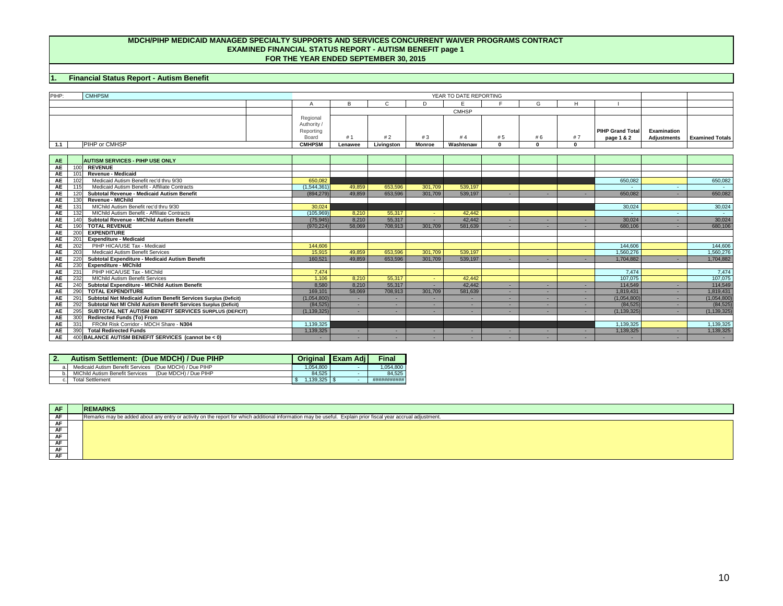# **1. Financial Status Report - Autism Benefit**

| PIHP:     | <b>CMHPSM</b>                                                          | YEAR TO DATE REPORTING |         |               |               |              |                |              |          |                         |                    |                        |
|-----------|------------------------------------------------------------------------|------------------------|---------|---------------|---------------|--------------|----------------|--------------|----------|-------------------------|--------------------|------------------------|
|           |                                                                        | $\overline{A}$         | B       | $\mathcal{C}$ | D             | E.           | $\blacksquare$ | G            | H        |                         |                    |                        |
|           |                                                                        |                        |         |               |               | <b>CMHSP</b> |                |              |          |                         |                    |                        |
|           |                                                                        | Regional               |         |               |               |              |                |              |          |                         |                    |                        |
|           |                                                                        | Authority /            |         |               |               |              |                |              |          |                         |                    |                        |
|           |                                                                        | Reporting              |         |               |               |              |                |              |          | <b>PIHP Grand Total</b> | <b>Examination</b> |                        |
|           |                                                                        | Board                  | # 1     | #2            | #3            | #4           | #5             | # 6          | #7       | page 1 & 2              | <b>Adjustments</b> | <b>Examined Totals</b> |
| 1.1       | PIHP or CMHSP                                                          | <b>CMHPSM</b>          | Lenawee | Livingston    | <b>Monroe</b> | Washtenaw    | $\mathbf{0}$   | $\mathbf{0}$ | $\Omega$ |                         |                    |                        |
|           |                                                                        |                        |         |               |               |              |                |              |          |                         |                    |                        |
| <b>AE</b> | <b>AUTISM SERVICES - PIHP USE ONLY</b>                                 |                        |         |               |               |              |                |              |          |                         |                    |                        |
| <b>AE</b> | 100 REVENUE                                                            |                        |         |               |               |              |                |              |          |                         |                    |                        |
| <b>AE</b> | <b>Revenue - Medicaid</b><br>101                                       |                        |         |               |               |              |                |              |          |                         |                    |                        |
| <b>AE</b> | Medicaid Autism Benefit rec'd thru 9/30<br>102                         | 650,082                |         |               |               |              |                |              |          | 650,082                 |                    | 650,082                |
| <b>AE</b> | 115<br>Medicaid Autism Benefit - Affiliate Contracts                   | (1,544,361)            | 49,859  | 653,596       | 301,709       | 539,197      |                |              |          |                         |                    |                        |
| <b>AE</b> | <b>Subtotal Revenue - Medicaid Autism Benefit</b><br>120               | (894, 279)             | 49,859  | 653,596       | 301,709       | 539,197      | $\sim$         | $\sim$       |          | 650,082                 |                    | 650,082                |
| <b>AE</b> | <b>Revenue - MIChild</b>                                               |                        |         |               |               |              |                |              |          |                         |                    |                        |
| <b>AE</b> | MIChild Autism Benefit rec'd thru 9/30<br>131                          | 30,024                 |         |               |               |              |                |              |          | 30,024                  |                    | 30,024                 |
| <b>AE</b> | 132<br><b>MIChild Autism Benefit - Affiliate Contracts</b>             | (105, 969)             | 8,210   | 55,317        | $\sim$        | 42,442       |                |              |          |                         |                    | <b>Contract</b>        |
| <b>AE</b> | <b>Subtotal Revenue - MIChild Autism Benefit</b><br>140                | (75, 945)              | 8,210   | 55,317        |               | 42,442       | $\sim$         | $\sim$       |          | 30,024                  |                    | 30,024                 |
| <b>AE</b> | <b>TOTAL REVENUE</b><br>190 <sup>°</sup>                               | (970, 224)             | 58,069  | 708,913       | 301,709       | 581,639      | $\sim$         | $\sim$       |          | 680,106                 |                    | 680,106                |
| <b>AE</b> | 200<br><b>EXPENDITURE</b>                                              |                        |         |               |               |              |                |              |          |                         |                    |                        |
| <b>AE</b> | <b>Expenditure - Medicaid</b><br>201                                   |                        |         |               |               |              |                |              |          |                         |                    |                        |
| <b>AE</b> | 202<br>PIHP HICA/USE Tax - Medicaid                                    | 144,606                |         |               |               |              |                |              |          | 144,606                 |                    | 144,606                |
| <b>AE</b> | 203<br><b>Medicaid Autism Benefit Services</b>                         | 15,915                 | 49,859  | 653,596       | 301,709       | 539,197      |                |              |          | 1,560,276               |                    | 1,560,276              |
| <b>AE</b> | 220<br><b>Subtotal Expenditure - Medicaid Autism Benefit</b>           | 160,521                | 49,859  | 653,596       | 301,709       | 539,197      | $\sim$         |              |          | 1,704,882               |                    | 1,704,882              |
| <b>AE</b> | 230<br><b>Expenditure - MIChild</b>                                    |                        |         |               |               |              |                |              |          |                         |                    |                        |
| <b>AE</b> | PIHP HICA/USE Tax - MIChild<br>231                                     | 7,474                  |         |               |               |              |                |              |          | 7,474                   |                    | 7,474                  |
| <b>AE</b> | 232<br><b>MIChild Autism Benefit Services</b>                          | 1,106                  | 8,210   | 55,317        | A.            | 42,442       |                |              |          | 107,075                 |                    | 107,075                |
| <b>AE</b> | 240<br><b>Subtotal Expenditure - MIChild Autism Benefit</b>            | 8,580                  | 8,210   | 55,317        | х.            | 42,442       | . п.           | $\sim$       |          | 114,549                 |                    | 114,549                |
| <b>AE</b> | 290<br><b>TOTAL EXPENDITURE</b>                                        | 169,101                | 58,069  | 708,913       | 301,709       | 581,639      | $\sim$         | $\sim$       |          | 1,819,431               | н.                 | 1,819,431              |
| <b>AE</b> | 291 Subtotal Net Medicaid Autism Benefit Services Surplus (Deficit)    | (1,054,800)            |         | $\sim$        |               | $\sim$       | $\sim$         | $\sim$       | н.       | (1,054,800)             | $\sim$             | (1,054,800)            |
| <b>AE</b> | Subtotal Net MI Child Autism Benefit Services Surplus (Deficit)<br>292 | (84, 525)              | $\sim$  | $\sim$        | $\sim$        | $\sim$       | $\sim$         | $\sim$       |          | (84, 525)               |                    | (84, 525)              |
| <b>AE</b> | 295 SUBTOTAL NET AUTISM BENEFIT SERVICES SURPLUS (DEFICIT)             | (1, 139, 325)          | $\sim$  | $\sim$        |               | $\sim$       | $\sim$         | $\sim$       |          | (1, 139, 325)           |                    | (1, 139, 325)          |
| <b>AE</b> | 300 Redirected Funds (To) From                                         |                        |         |               |               |              |                |              |          |                         |                    |                        |
| <b>AE</b> | FROM Risk Corridor - MDCH Share - N304<br>331                          | 1,139,325              |         |               |               |              |                |              |          | 1,139,325               |                    | 1,139,325              |
| <b>AE</b> | 390 Total Redirected Funds                                             | 1,139,325              |         | $\sim$        |               | $\sim$       | $\sim$         | $\sim$       |          | 1,139,325               |                    | 1,139,325              |
| <b>AE</b> | 400 BALANCE AUTISM BENEFIT SERVICES (cannot be < 0)                    |                        | $\sim$  | $\sim$        |               | $\sim$       | $\sim$         | $\sim$       |          |                         |                    | $\sim 100$             |

| PIHP:     | <b>CMHPSM</b>                                                          |                |              |              |                | YEAR TO DATE REPORTING |              |          |          |                         |                    |                        |
|-----------|------------------------------------------------------------------------|----------------|--------------|--------------|----------------|------------------------|--------------|----------|----------|-------------------------|--------------------|------------------------|
|           |                                                                        | $\overline{A}$ | <sub>R</sub> | $\mathsf{C}$ | D              | E.                     | Е            | G        | H        |                         |                    |                        |
|           |                                                                        |                |              |              |                | <b>CMHSP</b>           |              |          |          |                         |                    |                        |
|           |                                                                        | Regional       |              |              |                |                        |              |          |          |                         |                    |                        |
|           |                                                                        | Authority /    |              |              |                |                        |              |          |          |                         |                    |                        |
|           |                                                                        | Reporting      |              |              |                |                        |              |          |          | <b>PIHP Grand Total</b> | <b>Examination</b> |                        |
|           |                                                                        | <b>Board</b>   | #1           | #2           | #3             | #4                     | #5           | #6       | #7       | page 1 & 2              | <b>Adjustments</b> | <b>Examined Totals</b> |
| 1.1       | <b>PIHP or CMHSP</b>                                                   | <b>CMHPSM</b>  | Lenawee      | Livingston   | <b>Monroe</b>  | Washtenaw              | $\mathbf{0}$ | $\Omega$ | $\Omega$ |                         |                    |                        |
|           |                                                                        |                |              |              |                |                        |              |          |          |                         |                    |                        |
| <b>AE</b> | <b>AUTISM SERVICES - PIHP USE ONLY</b>                                 |                |              |              |                |                        |              |          |          |                         |                    |                        |
| <b>AE</b> | <b>REVENUE</b><br>100                                                  |                |              |              |                |                        |              |          |          |                         |                    |                        |
| <b>AE</b> | <b>Revenue - Medicaid</b><br>101                                       |                |              |              |                |                        |              |          |          |                         |                    |                        |
| <b>AE</b> | Medicaid Autism Benefit rec'd thru 9/30<br>102                         | 650,082        |              |              |                |                        |              |          |          | 650,082                 |                    | 650,082                |
| <b>AE</b> | 115<br>Medicaid Autism Benefit - Affiliate Contracts                   | (1, 544, 361)  | 49,859       | 653,596      | 301,709        | 539,197                |              |          |          |                         |                    |                        |
| <b>AE</b> | 120<br><b>Subtotal Revenue - Medicaid Autism Benefit</b>               | (894, 279)     | 49,859       | 653,596      | 301,709        | 539,197                | $\sim$       |          |          | 650,082                 |                    | 650,082                |
| <b>AE</b> | <b>Revenue - MIChild</b><br>130                                        |                |              |              |                |                        |              |          |          |                         |                    |                        |
| <b>AE</b> | MIChild Autism Benefit rec'd thru 9/30<br>131                          | 30,024         |              |              |                |                        |              |          |          | 30,024                  |                    | 30,024                 |
| <b>AE</b> | MIChild Autism Benefit - Affiliate Contracts<br>132                    | (105,969)      | 8,210        | 55,317       | $\sim 10$      | 42,442                 |              |          |          |                         |                    | $\sim 100$             |
| <b>AE</b> | <b>Subtotal Revenue - MIChild Autism Benefit</b><br>140                | (75, 945)      | 8,210        | 55,317       | $\sim$         | 42,442                 | $\sim$       |          |          | 30,024                  | $\sim$ .           | 30,024                 |
| <b>AE</b> | <b>TOTAL REVENUE</b><br>190                                            | (970, 224)     | 58,069       | 708,913      | 301,709        | 581,639                | $\sim$       |          |          | 680,106                 |                    | 680,106                |
| <b>AE</b> | <b>EXPENDITURE</b><br>200                                              |                |              |              |                |                        |              |          |          |                         |                    |                        |
| <b>AE</b> | <b>Expenditure - Medicaid</b><br>201                                   |                |              |              |                |                        |              |          |          |                         |                    |                        |
| <b>AE</b> | 202<br>PIHP HICA/USE Tax - Medicaid                                    | 144,606        |              |              |                |                        |              |          |          | 144,606                 |                    | 144,606                |
| <b>AE</b> | $\overline{203}$<br>Medicaid Autism Benefit Services                   | 15,915         | 49,859       | 653,596      | 301,709        | 539,197                |              |          |          | 1,560,276               |                    | 1,560,276              |
| <b>AE</b> | 220<br>Subtotal Expenditure - Medicaid Autism Benefit                  | 160,521        | 49,859       | 653,596      | 301,709        | 539,197                | ÷.           |          |          | 1,704,882               |                    | 1,704,882              |
| AE        | <b>Expenditure - MIChild</b><br>230                                    |                |              |              |                |                        |              |          |          |                         |                    |                        |
| <b>AE</b> | PIHP HICA/USE Tax - MIChild<br>231                                     | 7,474          |              |              |                |                        |              |          |          | 7,474                   |                    | 7,474                  |
| <b>AE</b> | 232<br><b>MIChild Autism Benefit Services</b>                          | 1,106          | 8,210        | 55,317       | <b>Section</b> | 42,442                 |              |          |          | 107,075                 |                    | 107,075                |
| <b>AE</b> | 240<br><b>Subtotal Expenditure - MIChild Autism Benefit</b>            | 8,580          | 8,210        | 55,317       | . п.           | 42,442                 | $\sim$       | . п.     |          | 114,549                 |                    | 114,549                |
| <b>AE</b> | <b>TOTAL EXPENDITURE</b><br>290                                        | 169,101        | 58,069       | 708,913      | 301,709        | 581,639                | $\sim$       |          |          | 1,819,431               |                    | 1,819,431              |
| <b>AE</b> | Subtotal Net Medicaid Autism Benefit Services Surplus (Deficit)<br>291 | (1,054,800)    | $\sim$       | <b>COL</b>   | $\sim$         | <b>COL</b>             | $\sim$       | $\sim$   |          | (1,054,800)             | $\sim$             | (1,054,800)            |
| <b>AE</b> | Subtotal Net MI Child Autism Benefit Services Surplus (Deficit)<br>292 | (84, 525)      | $\sim$       | $\sim$ $-$   | $\sim$         | . п.                   | ÷.           | $\sim$   |          | (84, 525)               | $\sim$             | (84, 525)              |
| <b>AE</b> | 295<br>SUBTOTAL NET AUTISM BENEFIT SERVICES SURPLUS (DEFICIT)          | (1, 139, 325)  | $\sim$       | . .          | $\sim$         | . .                    | $\sim$       |          |          | (1, 139, 325)           |                    | (1, 139, 325)          |
| <b>AE</b> | <b>Redirected Funds (To) From</b><br>300                               |                |              |              |                |                        |              |          |          |                         |                    |                        |
| <b>AE</b> | FROM Risk Corridor - MDCH Share - N304<br>331                          | 1,139,325      |              |              |                |                        |              |          |          | 1,139,325               |                    | 1,139,325              |
| AE        | 390<br><b>Total Redirected Funds</b>                                   | 1,139,325      | $\sim$       | $\sim$       |                | . .                    | $\sim$       |          |          | 1,139,325               |                    | 1,139,325              |
| AE        | 400 BALANCE AUTISM BENEFIT SERVICES (cannot be < 0)                    |                | $\sim$       |              |                |                        | $\sim$       |          |          |                         | $\sim$ 10 $\sigma$ |                        |

| <b>AF</b> | <b>REMARKS</b>                                                                                                                                               |
|-----------|--------------------------------------------------------------------------------------------------------------------------------------------------------------|
| <b>AF</b> | Remarks may be added about any entry or activity on the report for which additional information may be useful. Explain prior fiscal year accrual adjustment. |
| <b>AF</b> |                                                                                                                                                              |
| <b>AF</b> |                                                                                                                                                              |
| <b>AF</b> |                                                                                                                                                              |
| <b>AF</b> |                                                                                                                                                              |
| AF        |                                                                                                                                                              |
| <b>AF</b> |                                                                                                                                                              |

|     | <b>Autism Settlement: (Due MDCH) / Due PIHP</b>          |          | <b>Original   Exam Adil</b> | <b>Final</b> |
|-----|----------------------------------------------------------|----------|-----------------------------|--------------|
|     | Medicaid Autism Benefit Services (Due MDCH) / Due PIHP   | .054.800 |                             | ∣.054.800 ∣  |
|     | MIChild Autism Benefit Services<br>(Due MDCH) / Due PIHP | 84,525   |                             | 84.525       |
| C.I | <b>Total Settlement</b>                                  | ,139,325 |                             | ###########  |

# **MDCH/PIHP MEDICAID MANAGED SPECIALTY SUPPORTS AND SERVICES CONCURRENT WAIVER PROGRAMS CONTRACT EXAMINED FINANCIAL STATUS REPORT - AUTISM BENEFIT page 1 FOR THE YEAR ENDED SEPTEMBER 30, 2015**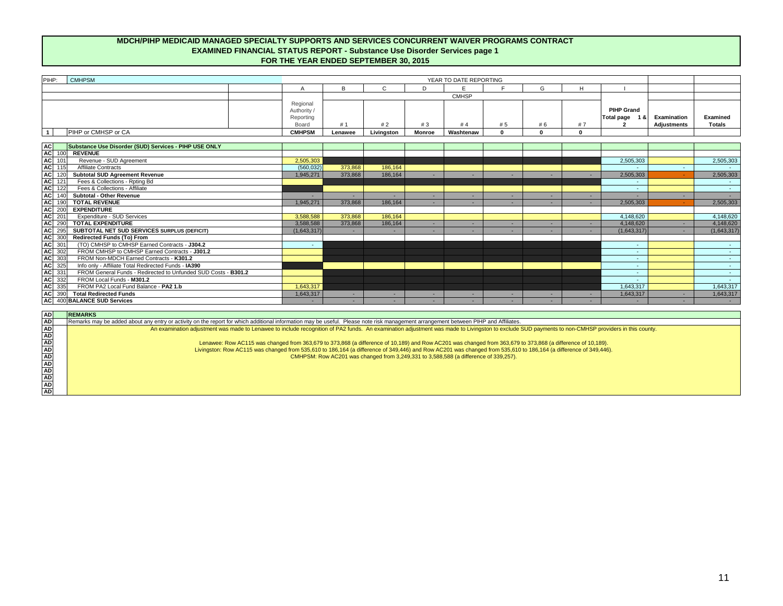| PIHP:<br><b>CMHPSM</b>     |                                                      | YEAR TO DATE REPORTING |            |               |              |     |    |              |                                              |                                          |                                  |  |
|----------------------------|------------------------------------------------------|------------------------|------------|---------------|--------------|-----|----|--------------|----------------------------------------------|------------------------------------------|----------------------------------|--|
|                            |                                                      |                        |            |               |              |     |    | $\mathbf{H}$ |                                              |                                          |                                  |  |
|                            |                                                      |                        |            |               | <b>CMHSP</b> |     |    |              |                                              |                                          |                                  |  |
|                            | Regional<br>Authority /<br>Reporting<br><b>Board</b> | #1                     | #2         |               | #4           | # 5 | #6 |              | <b>PIHP Grand</b><br><b>Total page</b><br>18 | <b>Examination</b><br><b>Adjustments</b> | <b>Examined</b><br><b>Totals</b> |  |
| <b>PIHP or CMHSP or CA</b> | <b>CMHPSM</b>                                        | Lenawee                | Livingston | <b>Monroe</b> | Washtenaw    |     |    |              |                                              |                                          |                                  |  |

| <b>AC</b><br>Substance Use Disorder (SUD) Services - PIHP USE ONLY          |             |         |         |          |                          |    |  |             |                    |
|-----------------------------------------------------------------------------|-------------|---------|---------|----------|--------------------------|----|--|-------------|--------------------|
| AC  <br><b>REVENUE</b><br>100                                               |             |         |         |          |                          |    |  |             |                    |
| <b>AC</b><br>Revenue - SUD Agreement<br>101                                 | 2,505,303   |         |         |          |                          |    |  | 2,505,303   | 2,505,303          |
| $\overline{AC}$ 115<br><b>Affiliate Contracts</b>                           | (560, 032)  | 373,868 | 186,164 |          |                          |    |  |             |                    |
| <b>AC</b><br><b>Subtotal SUD Agreement Revenue</b>                          | 1,945,271   | 373,868 | 186,164 |          |                          |    |  | 2,505,303   | 2,505,303          |
| AC<br>Fees & Collections - Rpting Bd<br>121                                 |             |         |         |          |                          |    |  |             |                    |
| <b>AC</b><br>Fees & Collections - Affiliate<br>122                          |             |         |         |          |                          |    |  |             | $\sim 100$         |
| $\overline{AC}$<br><b>Subtotal - Other Revenue</b>                          | <b>COL</b>  |         |         |          |                          | н. |  |             | $\sim 100$         |
| AC<br><b>TOTAL REVENUE</b>                                                  | 1,945,271   | 373,868 | 186,164 |          |                          | -  |  | 2,505,303   | 2,505,303          |
| <b>AC</b><br><b>EXPENDITURE</b><br>1200                                     |             |         |         |          |                          |    |  |             |                    |
| AC 201<br><b>Expenditure - SUD Services</b>                                 | 3,588,588   | 373,868 | 186,164 |          |                          |    |  | 4,148,620   | 4,148,620          |
| $\overline{AC}$<br>290<br><b>TOTAL EXPENDITURE</b>                          | 3,588,588   | 373,868 | 186,164 | <b>.</b> |                          | ۰. |  | 4,148,620   | 4,148,620          |
| AC<br>295<br><b>SUBTOTAL NET SUD SERVICES SURPLUS (DEFICIT)</b>             | (1,643,317) |         |         | $\sim$   | $\overline{\phantom{a}}$ | -  |  | (1,643,317) | (1,643,317)        |
| AC 300<br><b>Redirected Funds (To) From</b>                                 |             |         |         |          |                          |    |  |             |                    |
| AC 301<br>(TO) CMHSP to CMHSP Earned Contracts - J304.2                     | $\sim$      |         |         |          |                          |    |  |             | $\sim 100$         |
| $AC \overline{302}$<br>FROM CMHSP to CMHSP Earned Contracts - J301.2        |             |         |         |          |                          |    |  |             | $\sim 100$         |
| AC 303<br>FROM Non-MDCH Earned Contracts - K301.2                           |             |         |         |          |                          |    |  | $\sim$      | $\sim$ 10 $\sigma$ |
| $AC \overline{325}$<br>Info only - Affiliate Total Redirected Funds - IA390 |             |         |         |          |                          |    |  |             | <b>Contract</b>    |
| AC 331<br>FROM General Funds - Redirected to Unfunded SUD Costs - B301.2    |             |         |         |          |                          |    |  |             | $\sim 100$         |
| $AC \overline{332}$<br>FROM Local Funds - M301.2                            |             |         |         |          |                          |    |  |             | $\sim 100$         |
| AC<br>335<br>FROM PA2 Local Fund Balance - PA2 1.b                          | 1,643,317   |         |         |          |                          |    |  | 1,643,317   | 1,643,317          |
| AC 390<br><b>Total Redirected Funds</b>                                     | 1,643,317   | н.      |         | $\sim$   |                          | ۰. |  | 1,643,317   | 1,643,317          |
| AC 400 BALANCE SUD Services                                                 |             |         |         |          |                          |    |  |             |                    |

# **MDCH/PIHP MEDICAID MANAGED SPECIALTY SUPPORTS AND SERVICES CONCURRENT WAIVER PROGRAMS CONTRACT EXAMINED FINANCIAL STATUS REPORT - Substance Use Disorder Services page 1 FOR THE YEAR ENDED SEPTEMBER 30, 2015**

| <b>REMARKS</b>                                                                                                                                                                      |
|-------------------------------------------------------------------------------------------------------------------------------------------------------------------------------------|
| Remarks may be added about any entry or activity on the report for which additional information may be useful. Please note risk management arrangement between PIHP and Affiliates. |
| An examination adjustment was made to Lenawee to include recognition of PA2 funds. An examination adjustment was made to Livingston to exclude                                      |
|                                                                                                                                                                                     |
| Lenawee: Row AC115 was changed from 363,679 to 373,868 (a difference of 10,189) and Row AC201 was changed from 363,679                                                              |
| Livingston: Row AC115 was changed from 535,610 to 186,164 (a difference of 349,446) and Row AC201 was changed from 535,610                                                          |
| CMHPSM: Row AC201 was changed from 3,249,331 to 3,588,588 (a difference of 339,257).                                                                                                |
|                                                                                                                                                                                     |
|                                                                                                                                                                                     |
|                                                                                                                                                                                     |
|                                                                                                                                                                                     |
|                                                                                                                                                                                     |
|                                                                                                                                                                                     |

b exclude SUD payments to non-CMHSP providers in this county.

 $n$  363,679 to 373,868 (a difference of 10,189). n 535,610 to 186,164 (a difference of 349,446).<br>39,257).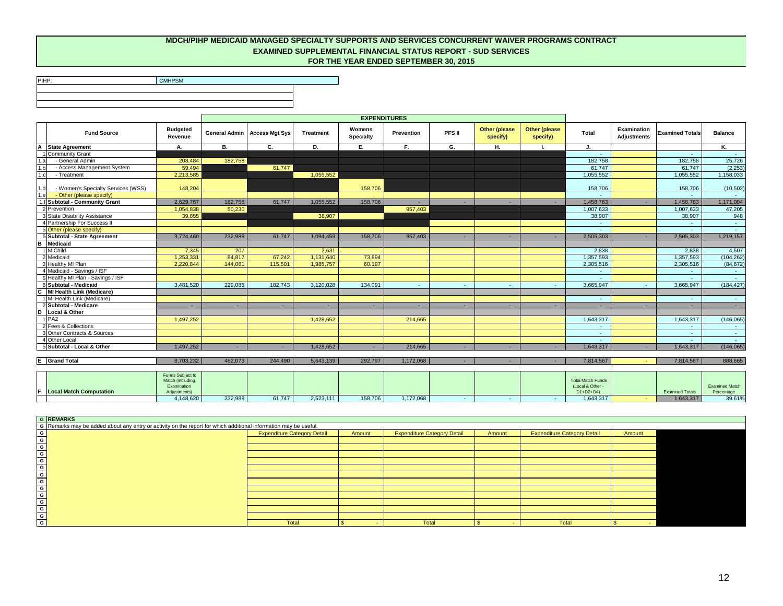PIHP:

**CMHPSM** 

|                |                                    |                                                                     |           |                                       |                  | <b>EXPENDITURES</b>               |                   |                 |                                  |                                   |                                                           |                                          |                        |                                     |
|----------------|------------------------------------|---------------------------------------------------------------------|-----------|---------------------------------------|------------------|-----------------------------------|-------------------|-----------------|----------------------------------|-----------------------------------|-----------------------------------------------------------|------------------------------------------|------------------------|-------------------------------------|
|                | <b>Fund Source</b>                 | <b>Budgeted</b><br>Revenue                                          |           | <b>General Admin   Access Mgt Sys</b> | <b>Treatment</b> | <b>Womens</b><br><b>Specialty</b> | <b>Prevention</b> | PFS II          | <b>Other (please</b><br>specify) | <b>Other (please)</b><br>specify) | <b>Total</b>                                              | <b>Examination</b><br><b>Adjustments</b> | <b>Examined Totals</b> | <b>Balance</b>                      |
|                | A State Agreement                  | Α.                                                                  | <b>B.</b> | $\overline{c}$ .                      | D.               | $E_{\rm c}$                       | $F_{\rm c}$       | G.              | Н.                               | $\blacksquare$                    | J.                                                        |                                          |                        | Κ.                                  |
|                | 1 Community Grant                  |                                                                     |           |                                       |                  |                                   |                   |                 |                                  |                                   |                                                           |                                          |                        |                                     |
| 1.a            | - General Admin                    | 208,484                                                             | 182,758   |                                       |                  |                                   |                   |                 |                                  |                                   | 182,758                                                   |                                          | 182,758                | 25,726                              |
| 1.b            | - Access Management System         | 59,494                                                              |           | 61,747                                |                  |                                   |                   |                 |                                  |                                   | 61,747                                                    |                                          | 61,747                 | (2, 253)                            |
| 1.c            | - Treatment                        | 2,213,585                                                           |           |                                       | 1,055,552        |                                   |                   |                 |                                  |                                   | 1,055,552                                                 |                                          | 1,055,552              | 1,158,033                           |
| 1.d            | - Women's Specialty Services (WSS) | 148,204                                                             |           |                                       |                  | 158,706                           |                   |                 |                                  |                                   | 158,706                                                   |                                          | 158,706                | (10, 502)                           |
| 1.e            | - Other (please specify)           |                                                                     |           |                                       |                  |                                   |                   |                 |                                  |                                   |                                                           |                                          | <b>Section</b>         | $\sim$ 10 $\pm$                     |
|                | f Subtotal - Community Grant       | 2,629,767                                                           | 182,758   | 61,747                                | 1,055,552        | 158,706                           | $\sim$            |                 | ٠                                |                                   | 1,458,763                                                 | $\sim$                                   | 1,458,763              | 1,171,004                           |
|                | 2 Prevention                       | 1,054,838                                                           | 50,230    |                                       |                  |                                   | 957,403           |                 |                                  |                                   | 1,007,633                                                 |                                          | 1,007,633              | 47,205                              |
|                | 3 State Disability Assistance      | 39,855                                                              |           |                                       | 38,907           |                                   |                   |                 |                                  |                                   | 38,907                                                    |                                          | 38,907                 | 948                                 |
|                | 4 Partnership For Success II       |                                                                     |           |                                       |                  |                                   |                   |                 |                                  |                                   | $\sim$                                                    |                                          |                        | $\sim 100$                          |
|                | 5 Other (please specify)           |                                                                     |           |                                       |                  |                                   |                   |                 |                                  |                                   | $\sim$                                                    |                                          | $\sim 10$              | $\sim 100$                          |
|                | 6 Subtotal - State Agreement       | 3,724,460                                                           | 232,988   | 61,747                                | 1,094,459        | 158,706                           | 957,403           | $\sim$          | ٠                                |                                   | 2,505,303                                                 | $\sim$                                   | 2,505,303              | 1,219,157                           |
|                | <b>B</b> Medicaid                  |                                                                     |           |                                       |                  |                                   |                   |                 |                                  |                                   |                                                           |                                          |                        |                                     |
|                | 1 MIChild                          | 7,345                                                               | 207       |                                       | 2,631            |                                   |                   |                 |                                  |                                   | 2,838                                                     |                                          | 2,838                  | 4,507                               |
|                | 2 Medicaid                         | 1,253,331                                                           | 84,817    | 67,242                                | 1,131,640        | 73,894                            |                   |                 |                                  |                                   | 1,357,593                                                 |                                          | 1,357,593              | (104, 262)                          |
|                | 3 Healthy MI Plan                  | 2,220,844                                                           | 144,061   | 115,501                               | 1,985,757        | 60,197                            |                   |                 |                                  |                                   | 2,305,516                                                 |                                          | 2,305,516              | (84, 672)                           |
|                | 4 Medicaid - Savings / ISF         |                                                                     |           |                                       |                  |                                   |                   |                 |                                  |                                   | $\sim$                                                    |                                          | $\sim$                 | $\sim 10$                           |
|                | 5 Healthy MI Plan - Savings / ISF  |                                                                     |           |                                       |                  |                                   |                   |                 |                                  |                                   |                                                           |                                          |                        |                                     |
|                | 6 Subtotal - Medicaid              | 3,481,520                                                           | 229,085   | 182,743                               | 3,120,028        | 134,091                           | $\sim$            | $\sim$ 10 $\pm$ | $\sim$                           | $\sim$                            | 3,665,947                                                 | $\sim$ 10                                | 3,665,947              | (184, 427)                          |
| $\overline{c}$ | MI Health Link (Medicare)          |                                                                     |           |                                       |                  |                                   |                   |                 |                                  |                                   |                                                           |                                          |                        |                                     |
|                | 1 MI Health Link (Medicare)        |                                                                     |           |                                       |                  |                                   |                   |                 |                                  |                                   | $\sim$                                                    |                                          |                        | $\sim 100$                          |
|                | 2 Subtotal - Medicare              | $\sim$                                                              | $\sim$    | $\sim$                                | . п.             | $\sim$                            | $\sim$            | $\sim$          | $\sim$                           | н.                                | $\sim$                                                    | $\sim$                                   | $\sim$ 10 $\sigma$     | $\sim$ 10 $\pm$                     |
|                | D   Local & Other                  |                                                                     |           |                                       |                  |                                   |                   |                 |                                  |                                   |                                                           |                                          |                        |                                     |
|                | $1$ PA <sub>2</sub>                | 1,497,252                                                           |           |                                       | 1,428,652        |                                   | 214,665           |                 |                                  |                                   | 1,643,317                                                 |                                          | 1,643,317              | (146, 065)                          |
|                | 2 Fees & Collections               |                                                                     |           |                                       |                  |                                   |                   |                 |                                  |                                   |                                                           |                                          |                        |                                     |
|                | 3 Other Contracts & Sources        |                                                                     |           |                                       |                  |                                   |                   |                 |                                  |                                   | $\sim$                                                    |                                          |                        | $\sim 100$                          |
|                | 4 Other Local                      |                                                                     |           |                                       |                  |                                   |                   |                 |                                  |                                   | $\sim$                                                    |                                          | $\sim 10$              | $\Delta \sim 10^4$                  |
|                | 5 Subtotal - Local & Other         | 1,497,252                                                           | $\sim$    | $\sim$                                | 1,428,652        |                                   | 214,665           | ٠.              | $\sim$                           | $\sim$                            | 1,643,317                                                 | $\sim$                                   | 1,643,317              | (146,065)                           |
|                |                                    |                                                                     |           |                                       |                  |                                   |                   |                 |                                  |                                   |                                                           |                                          |                        |                                     |
|                | <b>E</b> Grand Total               | 8,703,232                                                           | 462,073   | 244,490                               | 5,643,139        | 292,797                           | 1,172,068         | $\sim$ $-$      | $\sim$                           | $\sim$                            | 7,814,567                                                 | $\sim 10$                                | 7,814,567              | 888,665                             |
|                | <b>F Local Match Computation</b>   | Funds Subject to<br>Match (including<br>Examination<br>Adjustments) |           |                                       |                  |                                   |                   |                 |                                  |                                   | <b>Total Match Funds</b><br>(Local & Other<br>$D1+D2+D4)$ |                                          | <b>Examined Totals</b> | <b>Examined Match</b><br>Percentage |

|                                  | Funds Subject to |         |        |           |         |           |  |                   |                        |                       |
|----------------------------------|------------------|---------|--------|-----------|---------|-----------|--|-------------------|------------------------|-----------------------|
|                                  | Match (including |         |        |           |         |           |  | Total Match Funds |                        |                       |
|                                  | Examination      |         |        |           |         |           |  | (Local & Other -  |                        | <b>Examined Match</b> |
| <b>F Local Match Computation</b> | Adjustments)     |         |        |           |         |           |  | $D1+D2+D4$        | <b>Examined Totals</b> | Percentage            |
|                                  | 4,148,620        | 232,988 | 61,747 | 2,523,111 | 158,706 | 1,172,068 |  | 1,643,317         | 1,643,317              | 39.61%                |

# **FOR THE YEAR ENDED SEPTEMBER 30, 2015 MDCH/PIHP MEDICAID MANAGED SPECIALTY SUPPORTS AND SERVICES CONCURRENT WAIVER PROGRAMS CONTRACT EXAMINED SUPPLEMENTAL FINANCIAL STATUS REPORT - SUD SERVICES**

|                                                                                                                                                                                                                                 | <b>Expenditure Category Detail</b> | Amount | <b>Expenditure Category Detail</b> | Amount | <b>Expenditure Category Detail</b> | Amount |  |
|---------------------------------------------------------------------------------------------------------------------------------------------------------------------------------------------------------------------------------|------------------------------------|--------|------------------------------------|--------|------------------------------------|--------|--|
|                                                                                                                                                                                                                                 |                                    |        |                                    |        |                                    |        |  |
|                                                                                                                                                                                                                                 |                                    |        |                                    |        |                                    |        |  |
|                                                                                                                                                                                                                                 |                                    |        |                                    |        |                                    |        |  |
|                                                                                                                                                                                                                                 |                                    |        |                                    |        |                                    |        |  |
|                                                                                                                                                                                                                                 |                                    |        |                                    |        |                                    |        |  |
|                                                                                                                                                                                                                                 |                                    |        |                                    |        |                                    |        |  |
|                                                                                                                                                                                                                                 |                                    |        |                                    |        |                                    |        |  |
|                                                                                                                                                                                                                                 |                                    |        |                                    |        |                                    |        |  |
|                                                                                                                                                                                                                                 |                                    |        |                                    |        |                                    |        |  |
|                                                                                                                                                                                                                                 |                                    |        |                                    |        |                                    |        |  |
|                                                                                                                                                                                                                                 |                                    |        |                                    |        |                                    |        |  |
|                                                                                                                                                                                                                                 |                                    |        |                                    |        |                                    |        |  |
| Total<br>Comparison and the state of the structure of the structure of the structure of the structure of the structure of the structure of the structure of the structure of the structure of the structure of the structure of |                                    |        | <b>Total</b>                       |        | <b>Total</b>                       |        |  |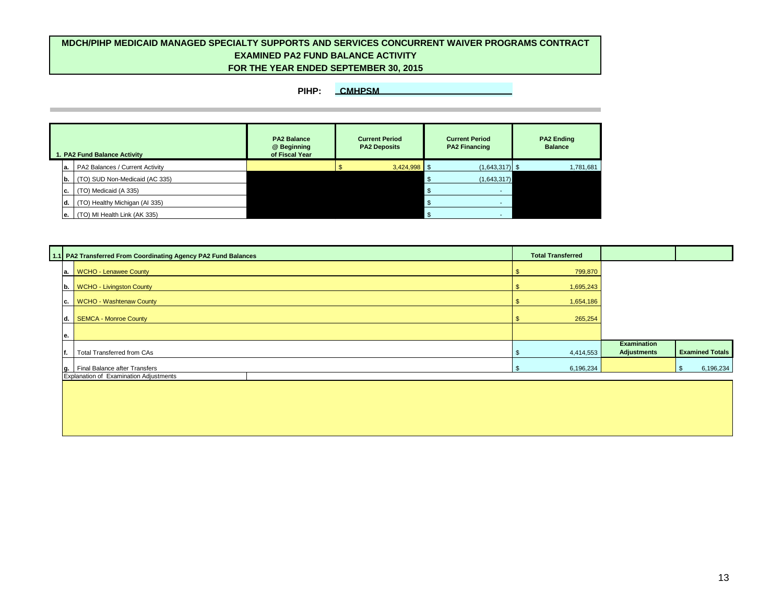|           | 1. PA2 Fund Balance Activity    | <b>PA2 Balance</b><br>@ Beginning<br>of Fiscal Year | <b>Current Period</b><br><b>PA2 Deposits</b> | <b>Current Period</b><br><b>PA2 Financing</b> | <b>PA2 Ending</b><br><b>Balance</b> |
|-----------|---------------------------------|-----------------------------------------------------|----------------------------------------------|-----------------------------------------------|-------------------------------------|
| la.       | PA2 Balances / Current Activity |                                                     | $3,424,998$ \$                               | $(1,643,317)$ \$                              | 1,781,681                           |
| lb.       | (TO) SUD Non-Medicaid (AC 335)  |                                                     |                                              | (1,643,317)                                   |                                     |
| С.        | (TO) Medicaid (A 335)           |                                                     |                                              |                                               |                                     |
| ld.       | (TO) Healthy Michigan (AI 335)  |                                                     |                                              |                                               |                                     |
| <b>e.</b> | (TO) MI Health Link (AK 335)    |                                                     |                                              |                                               |                                     |

|     | 1.1 PA2 Transferred From Coordinating Agency PA2 Fund Balances | <b>Total Transferred</b> |                    |                        |
|-----|----------------------------------------------------------------|--------------------------|--------------------|------------------------|
| la. | <b>WCHO - Lenawee County</b>                                   | 799,870                  |                    |                        |
| Ib. | <b>WCHO - Livingston County</b>                                | 1,695,243                |                    |                        |
| IC. | <b>WCHO - Washtenaw County</b>                                 | 1,654,186                |                    |                        |
| ld. | SEMCA - Monroe County                                          | 265,254                  |                    |                        |
| е.  |                                                                |                          |                    |                        |
|     |                                                                |                          | <b>Examination</b> |                        |
|     | <b>Total Transferred from CAs</b>                              | 4,414,553                | <b>Adjustments</b> | <b>Examined Totals</b> |
| lg. | Final Balance after Transfers                                  | 6,196,234                |                    | 6,196,234              |
|     | Explanation of Examination Adjustments                         |                          |                    |                        |
|     |                                                                |                          |                    |                        |
|     |                                                                |                          |                    |                        |



# **MDCH/PIHP MEDICAID MANAGED SPECIALTY SUPPORTS AND SERVICES CONCURRENT WAIVER PROGRAMS CONTRACT FOR THE YEAR ENDED SEPTEMBER 30, 2015 EXAMINED PA2 FUND BALANCE ACTIVITY**

# **PIHP: CMHPSM**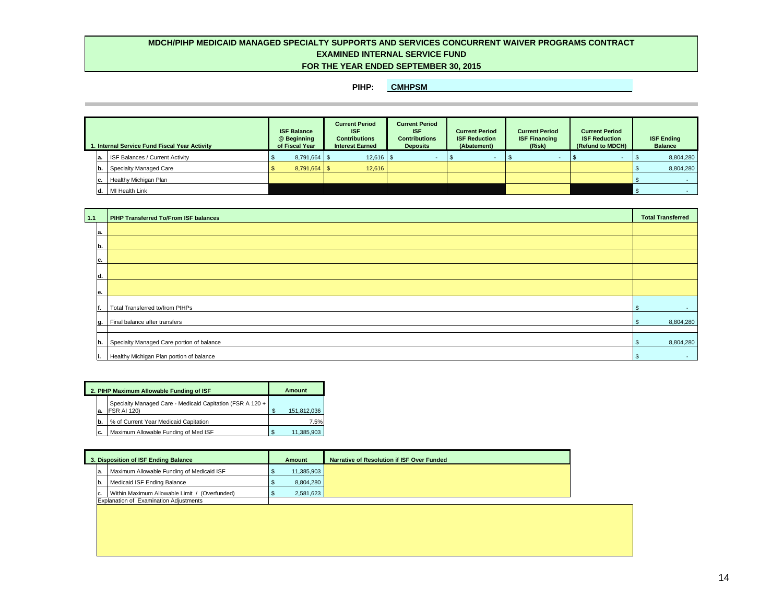| 1. Internal Service Fund Fiscal Year Activity |     |                                         | <b>ISF Balance</b><br>@ Beginning<br>of Fiscal Year | <b>Current Period</b><br><b>ISF</b><br><b>Contributions</b><br><b>Interest Earned</b> | <b>Current Period</b><br><b>ISF</b><br><b>Contributions</b><br><b>Deposits</b> | <b>Current Period</b><br><b>ISF Reduction</b><br>(Abatement) | <b>Current Period</b><br><b>ISF Financing</b><br>(Risk) | <b>Current Period</b><br><b>ISF Reduction</b><br>(Refund to MDCH) | <b>ISF Ending</b><br><b>Balance</b> |
|-----------------------------------------------|-----|-----------------------------------------|-----------------------------------------------------|---------------------------------------------------------------------------------------|--------------------------------------------------------------------------------|--------------------------------------------------------------|---------------------------------------------------------|-------------------------------------------------------------------|-------------------------------------|
|                                               | la. | <b>ISF Balances / Current Activity</b>  |                                                     | $12,616$   \$                                                                         |                                                                                |                                                              |                                                         |                                                                   | 8,804,280                           |
|                                               | lb. | Specialty Managed Care                  |                                                     | 12,616                                                                                |                                                                                |                                                              |                                                         |                                                                   | 8,804,280                           |
|                                               | C.  | Healthy Michigan Plan                   |                                                     |                                                                                       |                                                                                |                                                              |                                                         |                                                                   |                                     |
|                                               |     | $\mathsf{d}. \mathsf{I}$ MI Health Link |                                                     |                                                                                       |                                                                                |                                                              |                                                         |                                                                   |                                     |

|     | 2. PIHP Maximum Allowable Funding of ISF                                        | Amount |             |  |
|-----|---------------------------------------------------------------------------------|--------|-------------|--|
| а.  | Specialty Managed Care - Medicaid Capitation (FSR A 120 +<br><b>FSR AI 120)</b> |        | 151,812,036 |  |
| 'b. | % of Current Year Medicaid Capitation                                           |        | 7.5%        |  |
| C.  | Maximum Allowable Funding of Med ISF                                            | -S     | 11,385,903  |  |

| $1.1$        | <b>PIHP Transferred To/From ISF balances</b> | <b>Total Transferred</b> |
|--------------|----------------------------------------------|--------------------------|
| la.          |                                              |                          |
| <sub>b</sub> |                                              |                          |
| IC.          |                                              |                          |
| ld.          |                                              |                          |
| le.          |                                              |                          |
| f.           | Total Transferred to/from PIHPs              | <b>Contract</b>          |
|              | $ g. $ Final balance after transfers         | 8,804,280                |
| h.           | Specialty Managed Care portion of balance    | 8,804,280                |
| ļi.          | Healthy Michigan Plan portion of balance     | <b>S</b><br>$\sim$       |

| 3. Disposition of ISF Ending Balance |                                               | <b>Amount</b> | <b>Narrative of Resolution if ISF Over Funded</b> |
|--------------------------------------|-----------------------------------------------|---------------|---------------------------------------------------|
| Ia.                                  | Maximum Allowable Funding of Medicaid ISF     | 11,385,903    |                                                   |
| Ib.                                  | Medicaid ISF Ending Balance                   | 8,804,280     |                                                   |
|                                      | Within Maximum Allowable Limit / (Overfunded) | 2,581,623     |                                                   |
|                                      | <b>Explanation of Examination Adjustments</b> |               |                                                   |

| <b>Total Transferred</b>                      |
|-----------------------------------------------|
|                                               |
|                                               |
|                                               |
|                                               |
|                                               |
| $\, \, \raisebox{12pt}{$\scriptstyle \circ$}$ |
| 8,804,280<br>\$                               |
|                                               |
| 8,804,280<br>$\frac{1}{2}$                    |
| \$                                            |



# **EXAMINED INTERNAL SERVICE FUND MDCH/PIHP MEDICAID MANAGED SPECIALTY SUPPORTS AND SERVICES CONCURRENT WAIVER PROGRAMS CONTRACT FOR THE YEAR ENDED SEPTEMBER 30, 2015**

**PIHP: CMHPSM**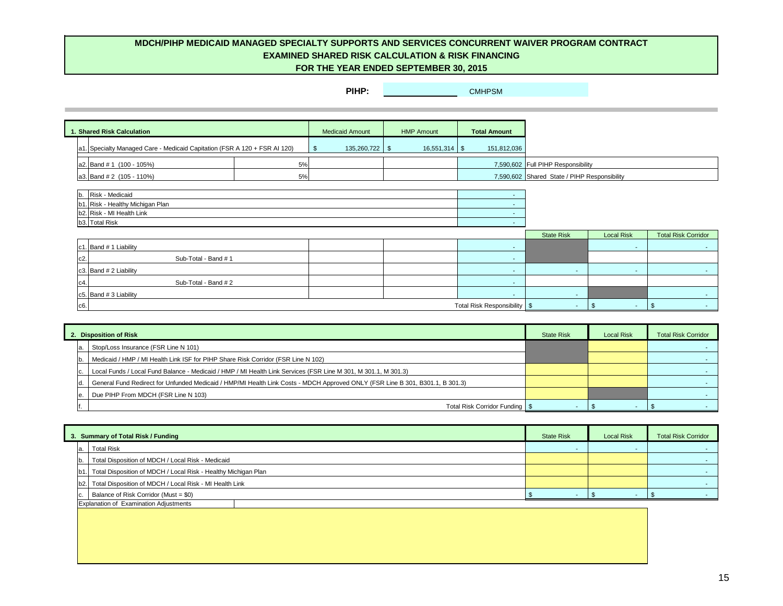|        | 1. Shared Risk Calculation                                            |    | <b>Medicaid Amount</b>                      | <b>HMP Amount</b> | <b>Total Amount</b> |                                              |                   |                           |
|--------|-----------------------------------------------------------------------|----|---------------------------------------------|-------------------|---------------------|----------------------------------------------|-------------------|---------------------------|
| la1    | Specialty Managed Care - Medicaid Capitation (FSR A 120 + FSR AI 120) |    | $135,260,722$ \$<br>$\sqrt[6]{\frac{1}{2}}$ |                   | 151,812,036         |                                              |                   |                           |
|        | $ a2. $ Band # 1 (100 - 105%)                                         | 5% |                                             |                   |                     | 7,590,602 Full PIHP Responsibility           |                   |                           |
|        | $ a3. $ Band # 2 (105 - 110%)                                         | 5% |                                             |                   |                     | 7,590,602 Shared State / PIHP Responsibility |                   |                           |
|        |                                                                       |    |                                             |                   |                     |                                              |                   |                           |
| b.     | Risk - Medicaid                                                       |    |                                             |                   | $\sim$              |                                              |                   |                           |
| b1     | . Risk - Healthy Michigan Plan                                        |    |                                             |                   | $\sim$              |                                              |                   |                           |
|        | b2. Risk - MI Health Link                                             |    |                                             |                   | $\sim$              |                                              |                   |                           |
|        | b3. Total Risk                                                        |    |                                             |                   | $\sim$              |                                              |                   |                           |
|        |                                                                       |    |                                             |                   |                     | <b>State Risk</b>                            | <b>Local Risk</b> | <b>Total Risk Corrido</b> |
|        | $ c1. $ Band # 1 Liability                                            |    |                                             |                   | and the             |                                              | $\sim$            |                           |
| $c2$ . | Sub-Total - Band #1                                                   |    |                                             |                   | $\sim$              |                                              |                   |                           |
|        | $ c3. $ Band # 2 Liability                                            |    |                                             |                   | and the             | $\sim$                                       | $\sim$            |                           |
| c4     | Sub-Total - Band #2                                                   |    |                                             |                   | $\sim$              |                                              |                   |                           |
|        | c5. Band # 3 Liability                                                |    |                                             |                   | <b>Contract</b>     | $\sim$                                       |                   |                           |

| <b>State Risk</b> | <b>Local Risk</b> | <b>Total Risk Corridor</b> |
|-------------------|-------------------|----------------------------|
|                   |                   |                            |
|                   |                   |                            |
|                   |                   |                            |
|                   |                   |                            |
|                   |                   |                            |
|                   |                   |                            |

| <b>Risk</b> | <b>Local Risk</b> | <b>Total Risk Corridor</b> |
|-------------|-------------------|----------------------------|
|             |                   |                            |
|             |                   |                            |
|             |                   |                            |
|             |                   |                            |
|             |                   |                            |
|             | ጡ                 | \$                         |

| <b>Risk</b> | <b>Local Risk</b> | <b>Total Risk Corridor</b> |
|-------------|-------------------|----------------------------|
|             |                   |                            |
|             |                   |                            |
|             |                   |                            |
|             |                   |                            |
|             |                   | \$                         |



c6. Total Risk Responsibility \$ - \$ - \$ -

| 2. Disposition of Risk                                                                                                        | <b>State Risk</b> | <b>Local Risk</b> | <b>Total Risk Corridor</b> |
|-------------------------------------------------------------------------------------------------------------------------------|-------------------|-------------------|----------------------------|
| Stop/Loss Insurance (FSR Line N 101)                                                                                          |                   |                   |                            |
| Medicaid / HMP / MI Health Link ISF for PIHP Share Risk Corridor (FSR Line N 102)                                             |                   |                   |                            |
| Local Funds / Local Fund Balance - Medicaid / HMP / MI Health Link Services (FSR Line M 301, M 301.1, M 301.3)                |                   |                   |                            |
| General Fund Redirect for Unfunded Medicaid / HMP/MI Health Link Costs - MDCH Approved ONLY (FSR Line B 301, B301.1, B 301.3) |                   |                   |                            |
| Due PIHP From MDCH (FSR Line N 103)                                                                                           |                   |                   |                            |
| Total Risk Corridor Funding   \$                                                                                              |                   |                   |                            |

| 3. Summary of Total Risk / Funding                                 | <b>State Risk</b> | <b>Local Risk</b> | <b>Total Risk Corridor</b> |
|--------------------------------------------------------------------|-------------------|-------------------|----------------------------|
| <b>Total Risk</b>                                                  |                   |                   |                            |
| Total Disposition of MDCH / Local Risk - Medicaid                  |                   |                   |                            |
| b1. Total Disposition of MDCH / Local Risk - Healthy Michigan Plan |                   |                   |                            |
| b2. Total Disposition of MDCH / Local Risk - MI Health Link        |                   |                   |                            |
| Balance of Risk Corridor (Must = \$0)                              |                   |                   |                            |
| Explanation of Examination Adjustments                             |                   |                   |                            |

# **MDCH/PIHP MEDICAID MANAGED SPECIALTY SUPPORTS AND SERVICES CONCURRENT WAIVER PROGRAM CONTRACT FOR THE YEAR ENDED SEPTEMBER 30, 2015 EXAMINED SHARED RISK CALCULATION & RISK FINANCING**

**PIHP: CMHPSM**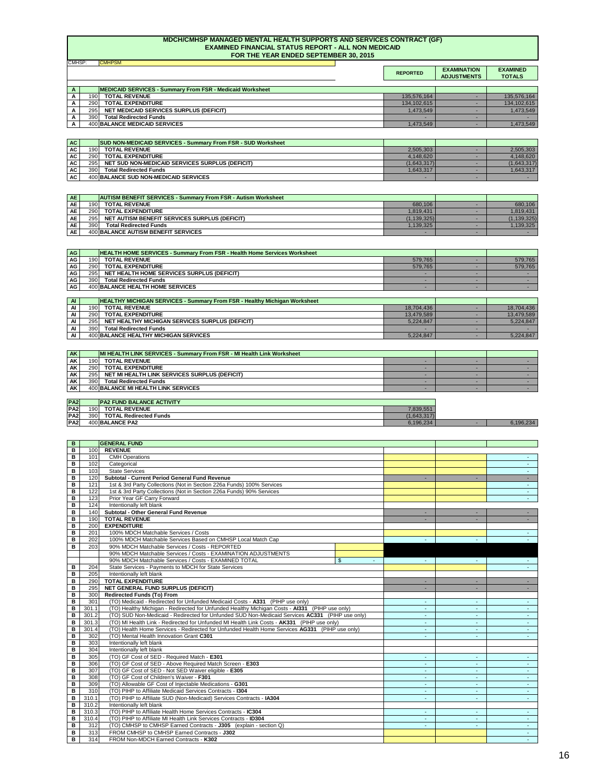|                                                                  | <b>REPORTED</b> | <b>EXAMINATION</b><br><b>ADJUSTMENTS</b> | <b>EXAMINED</b><br><b>TOTALS</b> |
|------------------------------------------------------------------|-----------------|------------------------------------------|----------------------------------|
|                                                                  |                 |                                          |                                  |
| <b>MEDICAID SERVICES - Summary From FSR - Medicaid Worksheet</b> |                 |                                          |                                  |
| <b>TOTAL REVENUE</b><br>190                                      | 135,576,164     |                                          | 135,576,164                      |
| <b>TOTAL EXPENDITURE</b><br>290                                  | 134,102,615     |                                          | 134,102,615                      |
| <b>NET MEDICAID SERVICES SURPLUS (DEFICIT)</b><br>295            | 1,473,549       |                                          | 1,473,549                        |
| <b>Total Redirected Funds</b><br>390                             |                 |                                          |                                  |
| 400 BALANCE MEDICAID SERVICES                                    | 1,473,549       |                                          | 1,473,549                        |

| AI | <b>HEALTHY MICHIGAN SERVICES - Summary From FSR - Healthy Michigan Worksheet</b> |                                                 |            |            |
|----|----------------------------------------------------------------------------------|-------------------------------------------------|------------|------------|
| Al | 190                                                                              | <b>TOTAL REVENUE</b>                            | 18,704,436 | 18.704.436 |
| AI | 290 l                                                                            | <b>TOTAL EXPENDITURE</b>                        | 13,479,589 | 13,479,589 |
| AI | 2951                                                                             | NET HEALTHY MICHIGAN SERVICES SURPLUS (DEFICIT) | 5,224,847  | 5,224,847  |
| Al | 390                                                                              | <b>Total Redirected Funds</b>                   |            |            |
| Al |                                                                                  | 400 BALANCE HEALTHY MICHIGAN SERVICES           | 5,224,847  | 5,224,847  |

| <b>AK</b> |      | <b>MI HEALTH LINK SERVICES - Summary From FSR - MI Health Link Worksheet</b> |  |  |
|-----------|------|------------------------------------------------------------------------------|--|--|
| AK        | 190I | <b>TOTAL REVENUE</b>                                                         |  |  |
| <b>AK</b> | 290I | <b>TOTAL EXPENDITURE</b>                                                     |  |  |
| <b>AK</b> | 295  | NET MI HEALTH LINK SERVICES SURPLUS (DEFICIT)                                |  |  |
| <b>AK</b> | 390I | <b>Total Redirected Funds</b>                                                |  |  |
| AK        |      | 400 BALANCE MI HEALTH LINK SERVICES                                          |  |  |

| AC        |      | <b>SUD NON-MEDICAID SERVICES - Summary From FSR - SUD Worksheet</b> |             |             |
|-----------|------|---------------------------------------------------------------------|-------------|-------------|
| AC        | 190  | <b>TOTAL REVENUE</b>                                                | 2,505,303   | 2,505,303   |
| AC        | 290  | <b>TOTAL EXPENDITURE</b>                                            | 4,148,620   | 4,148,620   |
| <b>AC</b> | 295L | NET SUD NON-MEDICAID SERVICES SURPLUS (DEFICIT)                     | (1,643,317) | (1,643,317) |
| <b>AC</b> | 390  | <b>Total Redirected Funds</b>                                       | 1,643,317   | 1,643,317   |
| <b>AC</b> |      | 400 BALANCE SUD NON-MEDICAID SERVICES                               | -           |             |

| <b>PA2</b> |     | <b>PA2 FUND BALANCE ACTIVITY</b> |             |           |
|------------|-----|----------------------------------|-------------|-----------|
| PA2        | 190 | <b>TOTAL REVENUE</b>             | 7,839,551   |           |
| PA2        | 390 | <b>TOTAL Redirected Funds</b>    | (1,643,317) |           |
| PA2        |     | 400 BALANCE PA2                  | 6,196,234   | 6,196,234 |

| AE        |                   | <b>AUTISM BENEFIT SERVICES - Summary From FSR - Autism Worksheet</b> |               |            |
|-----------|-------------------|----------------------------------------------------------------------|---------------|------------|
| AE'       | 190               | <b>TOTAL REVENUE</b>                                                 | 680,106       | 680,106    |
| <b>AE</b> | 290 <sup>-</sup>  | <b>TOTAL EXPENDITURE</b>                                             | 1,819,431     | 1,819,431  |
| <b>AE</b> | 295 <sup>-1</sup> | NET AUTISM BENEFIT SERVICES SURPLUS (DEFICIT)                        | (1, 139, 325) | (139, 325) |
| <b>AE</b> | <b>390</b>        | <b>Total Redirected Funds</b>                                        | 1,139,325     | ,139,325   |
| <b>AE</b> |                   | 400 BALANCE AUTISM BENEFIT SERVICES                                  |               |            |

## **MDCH/CMHSP MANAGED MENTAL HEALTH SUPPORTS AND SERVICES CONTRACT (GF) EXAMINED FINANCIAL STATUS REPORT - ALL NON MEDICAID FOR THE YEAR ENDED SEPTEMBER 30, 2015**

| AG I      |      | <b>HEALTH HOME SERVICES - Summary From FSR - Health Home Services Worksheet</b> |         |         |
|-----------|------|---------------------------------------------------------------------------------|---------|---------|
| AG        | 190I | <b>TOTAL REVENUE</b>                                                            | 579,765 | 579,765 |
| <b>AG</b> | 290  | <b>TOTAL EXPENDITURE</b>                                                        | 579,765 | 579,765 |
| AG        | 295  | NET HEALTH HOME SERVICES SURPLUS (DEFICIT)                                      |         |         |
| <b>AG</b> | 390  | <b>Total Redirected Funds</b>                                                   |         |         |
| AG        |      | 400 BALANCE HEALTH HOME SERVICES                                                |         |         |

| B            |       | <b>GENERAL FUND</b>                                                                             |       |                |        |                 |
|--------------|-------|-------------------------------------------------------------------------------------------------|-------|----------------|--------|-----------------|
| В            | 100   | <b>REVENUE</b>                                                                                  |       |                |        |                 |
| $\, {\bf B}$ | 101   | <b>CMH Operations</b>                                                                           |       |                |        |                 |
| B            | 102   | Categorical                                                                                     |       |                |        |                 |
| В            | 103   | <b>State Services</b>                                                                           |       |                |        |                 |
| В            | 120   | <b>Subtotal - Current Period General Fund Revenue</b>                                           |       |                |        |                 |
| B            | 121   | 1st & 3rd Party Collections (Not in Section 226a Funds) 100% Services                           |       |                |        |                 |
| B            | 122   | 1st & 3rd Party Collections (Not in Section 226a Funds) 90% Services                            |       |                |        |                 |
| B            | 123   | Prior Year GF Carry Forward                                                                     |       |                |        |                 |
| B            | 124   | Intentionally left blank                                                                        |       |                |        |                 |
| B            | 140   | Subtotal - Other General Fund Revenue                                                           |       | ٠              |        |                 |
| $\, {\bf B}$ | 190   | <b>TOTAL REVENUE</b>                                                                            |       |                |        |                 |
| B            | 200   | <b>EXPENDITURE</b>                                                                              |       |                |        |                 |
| B            | 201   | 100% MDCH Matchable Services / Costs                                                            |       |                |        |                 |
| В            | 202   | 100% MDCH Matchable Services Based on CMHSP Local Match Cap                                     |       |                |        |                 |
| В            | 203   | 90% MDCH Matchable Services / Costs - REPORTED                                                  |       |                |        |                 |
|              |       | 90% MDCH Matchable Services / Costs - EXAMINATION ADJUSTMENTS                                   |       |                |        |                 |
|              |       | 90% MDCH Matchable Services / Costs - EXAMINED TOTAL                                            | $\$\$ |                |        |                 |
| B            | 204   | State Services - Payments to MDCH for State Services                                            |       |                |        |                 |
| В            | 205   | Intentionally left blank                                                                        |       |                |        |                 |
| $\, {\bf B}$ | 290   | <b>TOTAL EXPENDITURE</b>                                                                        |       |                |        | $\sim$ 10 $\pm$ |
| B            | 295   | <b>NET GENERAL FUND SURPLUS (DEFICIT)</b>                                                       |       |                |        |                 |
| B            | 300   | <b>Redirected Funds (To) From</b>                                                               |       |                |        |                 |
| В            | 301   | (TO) Medicaid - Redirected for Unfunded Medicaid Costs - A331 (PIHP use only)                   |       |                |        |                 |
| В            | 301.1 | (TO) Healthy Michigan - Redirected for Unfunded Healthy Michigan Costs - Al331 (PIHP use only)  |       |                |        |                 |
| B            | 301.2 | (TO) SUD Non-Medicaid - Redirected for Unfunded SUD Non-Medicaid Services AC331 (PIHP use only) |       |                |        |                 |
| B            | 301.3 | (TO) MI Health Link - Redirected for Unfunded MI Health Link Costs - AK331 (PIHP use only)      |       |                |        |                 |
| B            | 301.4 | (TO) Health Home Services - Redirected for Unfunded Health Home Services AG331 (PIHP use only)  |       | $\blacksquare$ | ٠      |                 |
| B            | 302   | (TO) Mental Health Innovation Grant C301                                                        |       |                |        |                 |
| B            | 303   | Intentionally left blank                                                                        |       |                |        |                 |
| B            | 304   | Intentionally left blank                                                                        |       |                |        |                 |
| B            | 305   | (TO) GF Cost of SED - Required Match - E301                                                     |       |                | ۰.     |                 |
| B            | 306   | (TO) GF Cost of SED - Above Required Match Screen - E303                                        |       |                |        |                 |
| В            | 307   | (TO) GF Cost of SED - Not SED Waiver eligible - E305                                            |       |                |        |                 |
| $\, {\bf B}$ | 308   | (TO) GF Cost of Children's Waiver - F301                                                        |       |                |        |                 |
| B            | 309   | (TO) Allowable GF Cost of Injectable Medications - G301                                         |       |                |        |                 |
| B            | 310   | (TO) PIHP to Affiliate Medicaid Services Contracts - 1304                                       |       | $\sim$         | $\sim$ | $\sim$          |
| В            | 310.1 | (TO) PIHP to Affiliate SUD (Non-Medicaid) Services Contracts - IA304                            |       | $\sim$         | $\sim$ | $\sim$ 10 $\pm$ |
| B            | 310.2 | Intentionally left blank                                                                        |       |                |        |                 |
| B            | 310.3 | (TO) PIHP to Affiliate Health Home Services Contracts - IC304                                   |       | ٠              | $\sim$ | $\sim$ $-$      |
| В            | 310.4 | (TO) PIHP to Affiliate MI Health Link Services Contracts - ID304                                |       |                | $\sim$ | $\sim$ 10 $\pm$ |
| В            | 312   | (TO) CMHSP to CMHSP Earned Contracts - J305 (explain - section Q)                               |       |                |        |                 |
| В            | 313   | FROM CMHSP to CMHSP Earned Contracts - J302                                                     |       |                |        | $\sim$ 10 $\pm$ |
| B            | 314   | FROM Non-MDCH Earned Contracts - K302                                                           |       |                |        |                 |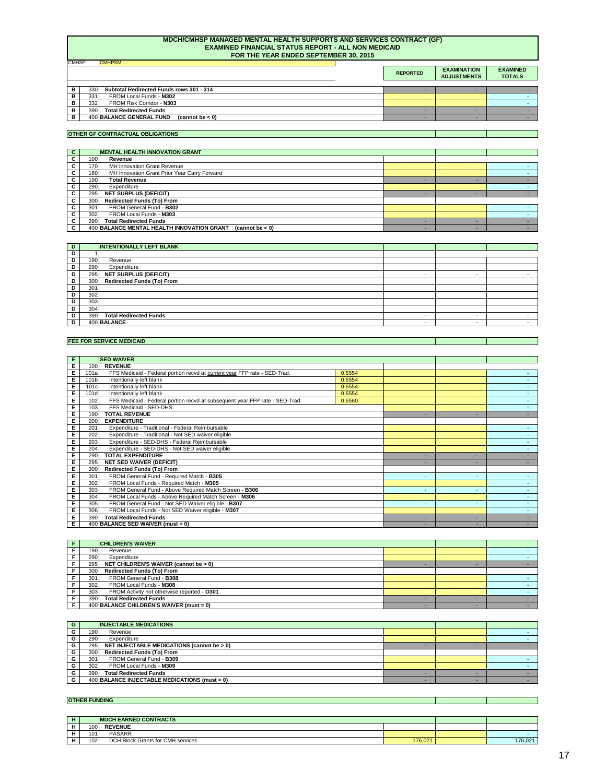## **MDCH/CMHSP MANAGED MENTAL HEALTH SUPPORTS AND SERVICES CONTRACT (GF) EXAMINED FINANCIAL STATUS REPORT - ALL NON MEDICAID FOR THE YEAR ENDED SEPTEMBER 30, 2015**

| $\mathsf{H}$ | <b>MDCH EARNED CONTRACTS</b> |                                   |         |         |
|--------------|------------------------------|-----------------------------------|---------|---------|
|              | 100                          | <b>REVENUE</b>                    |         |         |
|              | 101                          | <b>PASARR</b>                     |         |         |
|              | 102                          | DCH Block Grants for CMH services | 176,021 | 176,021 |

|    |                                                                     | <b>REPORTED</b> | <b>EXAMINATION</b><br><b>ADJUSTMENTS</b> | <b>EXAMINED</b><br><b>TOTALS</b> |
|----|---------------------------------------------------------------------|-----------------|------------------------------------------|----------------------------------|
|    |                                                                     |                 |                                          |                                  |
| в. | 330 <sup>1</sup><br><b>Subtotal Redirected Funds rows 301 - 314</b> |                 |                                          |                                  |
| D. | 331<br>FROM Local Funds - M302                                      |                 |                                          |                                  |
| в  | FROM Risk Corridor - N303<br>332                                    |                 |                                          |                                  |
|    | 390<br><b>Total Redirected Funds</b>                                |                 |                                          |                                  |
| в. | 400 BALANCE GENERAL FUND<br>(cannot be $< 0$ )                      |                 |                                          |                                  |

| G  | <b>INJECTABLE MEDICATIONS</b> |                                                 |  |  |
|----|-------------------------------|-------------------------------------------------|--|--|
| G  | 190                           | Revenue                                         |  |  |
| G. | 290                           | Expenditure                                     |  |  |
| G. | 295                           | NET INJECTABLE MEDICATIONS (cannot be > 0)      |  |  |
| G  | 300                           | <b>Redirected Funds (To) From</b>               |  |  |
| G. | 301                           | FROM General Fund - B309                        |  |  |
| G. | 302                           | FROM Local Funds - M309                         |  |  |
| G  | 390                           | <b>Total Redirected Funds</b>                   |  |  |
| G  |                               | $400$ BALANCE INJECTABLE MEDICATIONS (must = 0) |  |  |

|     | <b>CHILDREN'S WAIVER</b>                    |  |  |
|-----|---------------------------------------------|--|--|
| 190 | Revenue                                     |  |  |
| 290 | Expenditure                                 |  |  |
| 295 | NET CHILDREN'S WAIVER (cannot be > 0)       |  |  |
| 300 | <b>Redirected Funds (To) From</b>           |  |  |
| 301 | FROM General Fund - B308                    |  |  |
| 302 | FROM Local Funds - M308                     |  |  |
| 303 | FROM Activity not otherwise reported - 0301 |  |  |
| 390 | <b>Total Redirected Funds</b>               |  |  |
|     | $400$ BALANCE CHILDREN'S WAIVER (must = 0)  |  |  |

| <b>FUNDING</b><br><b>OTHER</b> |  |
|--------------------------------|--|
|                                |  |

| D |     | <b>INTENTIONALLY LEFT BLANK</b>   |  |  |
|---|-----|-----------------------------------|--|--|
| D |     |                                   |  |  |
| D | 190 | Revenue                           |  |  |
| D | 290 | Expenditure                       |  |  |
| D | 295 | <b>NET SURPLUS (DEFICIT)</b>      |  |  |
| D | 300 | <b>Redirected Funds (To) From</b> |  |  |
| D | 301 |                                   |  |  |
| D | 302 |                                   |  |  |
| D | 303 |                                   |  |  |
| D | 304 |                                   |  |  |
| D | 390 | <b>Total Redirected Funds</b>     |  |  |
| D |     | 400 BALANCE                       |  |  |

| E  |      | <b>SED WAIVER</b>                                                            |        |   |                          |  |
|----|------|------------------------------------------------------------------------------|--------|---|--------------------------|--|
| E. | 100  | <b>REVENUE</b>                                                               |        |   |                          |  |
| E. | 101a | FFS Medicaid - Federal portion recvd at current year FFP rate - SED-Trad.    | 0.6554 |   |                          |  |
| E. | 101b | Intentionally left blank                                                     | 0.6554 |   |                          |  |
| E  | 101c | Intentionally left blank                                                     | 0.6554 |   |                          |  |
| E. | 101d | Intentionally left blank                                                     | 0.6554 |   |                          |  |
| E. | 102  | FFS Medicaid - Federal portion recvd at subsequent year FFP rate - SED-Trad. | 0.6560 |   |                          |  |
| E. | 103  | FFS Medicaid - SED-DHS                                                       |        |   |                          |  |
| E  | 190  | <b>TOTAL REVENUE</b>                                                         |        |   |                          |  |
| E  | 200  | <b>EXPENDITURE</b>                                                           |        |   |                          |  |
| E  | 201  | Expenditure - Traditional - Federal Reimbursable                             |        |   |                          |  |
| E  | 202  | Expenditure - Traditional - Not SED waiver eligible                          |        |   |                          |  |
| E  | 203  | Expenditure - SED-DHS - Federal Reimbursable                                 |        |   |                          |  |
| E  | 204  | Expenditure - SED-DHS - Not SED waiver eligible                              |        |   |                          |  |
| Е  | 290  | <b>TOTAL EXPENDITURE</b>                                                     |        |   |                          |  |
| E  | 295  | <b>NET SED WAIVER (DEFICIT)</b>                                              |        |   |                          |  |
| E  | 300  | <b>Redirected Funds (To) From</b>                                            |        |   |                          |  |
| E  | 301  | FROM General Fund - Required Match - B305                                    |        | ۰ | $\overline{\phantom{a}}$ |  |
| E  | 302  | FROM Local Funds - Required Match - M305                                     |        |   |                          |  |

| $\mathbf{C}$ | <b>MENTAL HEALTH INNOVATION GRANT</b>                            |  |  |  |
|--------------|------------------------------------------------------------------|--|--|--|
| C.           | 100 <sub>l</sub><br>Revenue                                      |  |  |  |
| C.           | MH Innovation Grant Revenue<br>170                               |  |  |  |
| C.           | MH Innovation Grant Prior Year Carry Forward<br>180 <sup>1</sup> |  |  |  |
| C.           | <b>Total Revenue</b><br>190 <sub>l</sub>                         |  |  |  |
| C.           | 290<br>Expenditure                                               |  |  |  |
| C            | <b>NET SURPLUS (DEFICIT)</b><br>295                              |  |  |  |
| C.           | <b>Redirected Funds (To) From</b><br>300                         |  |  |  |
| C.           | FROM General Fund - B302<br>301                                  |  |  |  |
| C.           | 302<br>FROM Local Funds - M303                                   |  |  |  |
| $\mathbf{C}$ | <b>Total Redirected Funds</b><br>390                             |  |  |  |
| $\mathbf{C}$ | 400 BALANCE MENTAL HEALTH INNOVATION GRANT<br>(cannot be $< 0$ ) |  |  |  |

| 303I             | FROM General Fund - Above Required Match Screen - <b>B306</b> |  |  |
|------------------|---------------------------------------------------------------|--|--|
| 304              | FROM Local Funds - Above Required Match Screen - M306         |  |  |
| 305              | FROM General Fund - Not SED Waiver eligible - B307            |  |  |
| 306 <sub>1</sub> | FROM Local Funds - Not SED Waiver eligible - M307             |  |  |
| 390l             | <b>Total Redirected Funds</b>                                 |  |  |
|                  | $\overline{400}$ BALANCE SED WAIVER (must = 0)                |  |  |

# **FEE FOR SERVICE MEDICAID**

## **OTHER GF CONTRACTUAL OBLIGATIONS**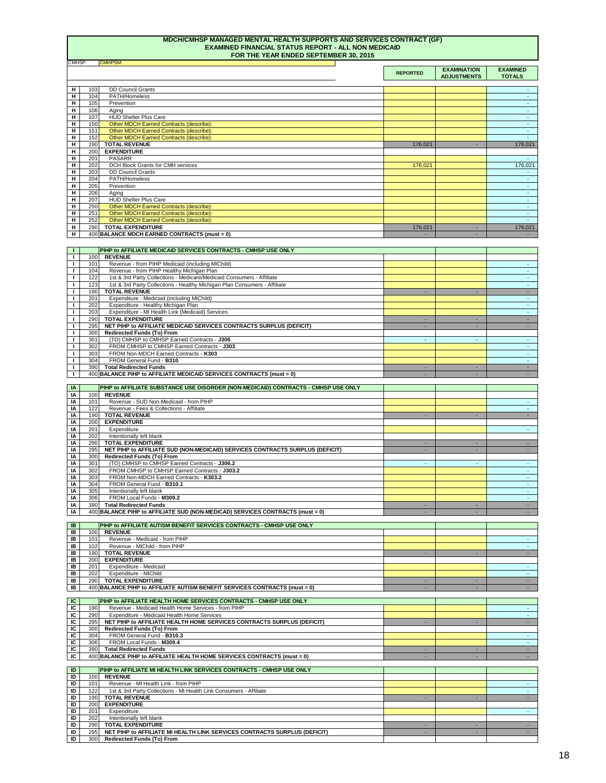## **MDCH/CMHSP MANAGED MENTAL HEALTH SUPPORTS AND SERVICES CONTRACT (GF) EXAMINED FINANCIAL STATUS REPORT - ALL NON MEDICAID FOR THE YEAR ENDED SEPTEMBER 30, 2015**

| -                                                   | <b>REPORTED</b> | <b>EXAMINATION</b><br><b>ADJUSTMENTS</b> | <b>EXAMINED</b><br><b>TOTALS</b> |
|-----------------------------------------------------|-----------------|------------------------------------------|----------------------------------|
|                                                     |                 |                                          |                                  |
| <b>DD Council Grants</b><br>103<br>H                |                 |                                          |                                  |
| H<br>PATH/Homeless<br>104                           |                 |                                          |                                  |
| H<br>105<br>Prevention                              |                 |                                          |                                  |
| H<br>106<br>Aging                                   |                 |                                          | $\sim$                           |
| <b>HUD Shelter Plus Care</b><br>H<br>107            |                 |                                          |                                  |
| Other MDCH Earned Contracts (describe):<br>H<br>150 |                 |                                          | ж.                               |
| H<br>151<br>Other MDCH Earned Contracts (describe): |                 |                                          |                                  |
| н<br>Other MDCH Earned Contracts (describe):<br>152 |                 |                                          |                                  |
| H<br><b>TOTAL REVENUE</b><br>190                    | 176,021         | ٠                                        | 176,021                          |
| H<br><b>EXPENDITURE</b><br>200                      |                 |                                          |                                  |
| <b>PASARR</b><br>H<br>201                           |                 |                                          | $\sim$                           |
| DCH Block Grants for CMH services<br>Н<br>202       | 176,021         |                                          | 176,021                          |
| <b>DD Council Grants</b><br>Н<br>203                |                 |                                          |                                  |
| PATH/Homeless<br>H<br>204                           |                 |                                          |                                  |
| H<br>205<br>Prevention                              |                 |                                          |                                  |
| 206<br>H<br>Aging                                   |                 |                                          |                                  |
| <b>HUD Shelter Plus Care</b><br>207<br>H            |                 |                                          | $\sim$                           |
| Other MDCH Earned Contracts (describe):<br>H<br>250 |                 |                                          | $\sim$                           |
| Other MDCH Earned Contracts (describe):<br>251<br>H |                 |                                          | $\sim$                           |
| Other MDCH Earned Contracts (describe):<br>H<br>252 |                 |                                          | $\sim$                           |
| <b>TOTAL EXPENDITURE</b><br>290<br>H                | 176,021         | ٠                                        | 176,021                          |
| 400 BALANCE MDCH EARNED CONTRACTS (must = 0)<br>н   |                 |                                          |                                  |

|     | PIHP to AFFILIATE MEDICAID SERVICES CONTRACTS - CMHSP USE ONLY            |  |  |
|-----|---------------------------------------------------------------------------|--|--|
| 100 | <b>REVENUE</b>                                                            |  |  |
| 101 | Revenue - from PIHP Medicaid (including MIChild)                          |  |  |
| 104 | Revenue - from PIHP Healthy Michigan Plan                                 |  |  |
| 122 | 1st & 3rd Party Collections - Medicare/Medicaid Consumers - Affiliate     |  |  |
| 123 | 1st & 3rd Party Collections - Healthy Michigan Plan Consumers - Affiliate |  |  |
| 190 | <b>TOTAL REVENUE</b>                                                      |  |  |
| 201 | Expenditure - Medicaid (including MIChild)                                |  |  |
| 202 | Expenditure - Healthy Michigan Plan                                       |  |  |
| 203 | Expenditure - MI Health Link (Medicaid) Services                          |  |  |
| 290 | <b>TOTAL EXPENDITURE</b>                                                  |  |  |
| 295 | NET PIHP to AFFILIATE MEDICAID SERVICES CONTRACTS SURPLUS (DEFICIT)       |  |  |
| 300 | <b>Redirected Funds (To) From</b>                                         |  |  |
| 301 | (TO) CMHSP to CMHSP Earned Contracts - J306                               |  |  |
| 302 | FROM CMHSP to CMHSP Earned Contracts - J303                               |  |  |
| 303 | FROM Non-MDCH Earned Contracts - K303                                     |  |  |
| 304 | FROM General Fund - B310                                                  |  |  |
| 390 | <b>Total Redirected Funds</b>                                             |  |  |
|     | 400 BALANCE PIHP to AFFILIATE MEDICAID SERVICES CONTRACTS (must = 0)      |  |  |
|     |                                                                           |  |  |

| IA |                  | <b>PIHP to AFFILIATE SUBSTANCE USE DISORDER (NON-MEDICAID) CONTRACTS - CMHSP USE ONLY</b> |   |  |
|----|------------------|-------------------------------------------------------------------------------------------|---|--|
| IA | 100 <sup>1</sup> | <b>REVENUE</b>                                                                            |   |  |
| ΙA | 101              | Revenue - SUD Non-Medicaid - from PIHP                                                    |   |  |
| IA | 122              | Revenue - Fees & Collections - Affiliate                                                  |   |  |
| IA | 190 <sub>l</sub> | <b>TOTAL REVENUE</b>                                                                      |   |  |
| IA | 200              | <b>EXPENDITURE</b>                                                                        |   |  |
| IA | 201              | Expenditure                                                                               |   |  |
| IA | 202              | Intentionally left blank                                                                  |   |  |
| IA | 290              | <b>TOTAL EXPENDITURE</b>                                                                  |   |  |
| IA | 295              | NET PIHP to AFFILIATE SUD (NON-MEDICAID) SERVICES CONTRACTS SURPLUS (DEFICIT)             |   |  |
| IA | 300              | <b>Redirected Funds (To) From</b>                                                         |   |  |
| IA | 301              | (TO) CMHSP to CMHSP Earned Contracts - J306.2                                             | ۰ |  |
| IA | 302              | FROM CMHSP to CMHSP Earned Contracts - J303.2                                             |   |  |
| IA | 303              | FROM Non-MDCH Earned Contracts - K303.2                                                   |   |  |
| IA | 304              | FROM General Fund - B310.1                                                                |   |  |
| IA | 305              | Intentionally left blank                                                                  |   |  |
| IA | 306              | FROM Local Funds - M309.2                                                                 |   |  |
| IA | 390              | <b>Total Redirected Funds</b>                                                             |   |  |
| IA |                  | 400 BALANCE PIHP to AFFILIATE SUD (NON-MEDICAD) SERVICES CONTRACTS (must = 0)             |   |  |

| IC | <b>PIHP to AFFILIATE HEALTH HOME SERVICES CONTRACTS - CMHSP USE ONLY</b> |                                                                         |  |  |
|----|--------------------------------------------------------------------------|-------------------------------------------------------------------------|--|--|
| IC | 190 <sub>l</sub>                                                         | Revenue - Medicaid Health Home Services - from PIHP                     |  |  |
| IC | 290 <sub>l</sub>                                                         | <b>Expenditure - Medicaid Health Home Services</b>                      |  |  |
| IC | 295                                                                      | NET PIHP to AFFILIATE HEALTH HOME SERVICES CONTRACTS SURPLUS (DEFICIT)  |  |  |
| IC | 300                                                                      | <b>Redirected Funds (To) From</b>                                       |  |  |
| IC | 304 <sub>l</sub>                                                         | FROM General Fund - B310.3                                              |  |  |
| IC | 306                                                                      | FROM Local Funds - M309.4                                               |  |  |
| IC | 390 <sub>l</sub>                                                         | <b>Total Redirected Funds</b>                                           |  |  |
| IC |                                                                          | 400 BALANCE PIHP to AFFILIATE HEALTH HOME SERVICES CONTRACTS (must = 0) |  |  |

| IB | PIHP to AFFILIATE AUTISM BENEFIT SERVICES CONTRACTS - CMHSP USE ONLY |                                                                            |  |  |
|----|----------------------------------------------------------------------|----------------------------------------------------------------------------|--|--|
| IB | 100I                                                                 | <b>REVENUE</b>                                                             |  |  |
| IB | 101                                                                  | Revenue - Medicaid - from PIHP                                             |  |  |
| IB | 102 <sub>l</sub>                                                     | Revenue - MIChild - from PIHP                                              |  |  |
| IB | 190                                                                  | <b>TOTAL REVENUE</b>                                                       |  |  |
| IB | <b>200</b>                                                           | <b>EXPENDITURE</b>                                                         |  |  |
| IB | 201                                                                  | Expenditure - Medicaid                                                     |  |  |
| IB | 202l                                                                 | Expenditure - MIChild                                                      |  |  |
| IB | <b>290</b>                                                           | <b>TOTAL EXPENDITURE</b>                                                   |  |  |
| IB |                                                                      | 400 BALANCE PIHP to AFFILIATE AUTISM BENEFIT SERVICES CONTRACTS (must = 0) |  |  |

| <b>ID</b> |                  | PIHP to AFFILIATE MI HEALTH LINK SERVICES CONTRACTS - CMHSP USE ONLY      |  |  |
|-----------|------------------|---------------------------------------------------------------------------|--|--|
| ID        | 100              | <b>REVENUE</b>                                                            |  |  |
| ID        | 101              | Revenue - MI Health Link - from PIHP                                      |  |  |
| ID        | 122 <sub>1</sub> | 1st & 3rd Party Collections - MI Health Link Consumers - Affiliate        |  |  |
| ID        | 190 <sub>1</sub> | <b>TOTAL REVENUE</b>                                                      |  |  |
| ID        | 200              | <b>EXPENDITURE</b>                                                        |  |  |
| ID        | 201              | Expenditure                                                               |  |  |
| ID        | 202              | Intentionally left blank                                                  |  |  |
| ID        | 290              | <b>TOTAL EXPENDITURE</b>                                                  |  |  |
| ID        | 295              | NET PIHP to AFFILIATE MI HEALTH LINK SERVICES CONTRACTS SURPLUS (DEFICIT) |  |  |
| ID        | 300              | <b>Redirected Funds (To) From</b>                                         |  |  |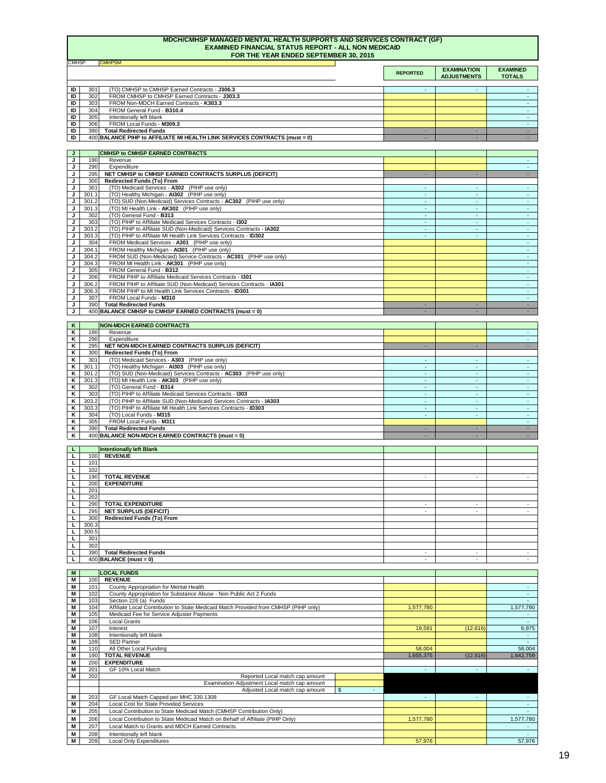## **MDCH/CMHSP MANAGED MENTAL HEALTH SUPPORTS AND SERVICES CONTRACT (GF) EXAMINED FINANCIAL STATUS REPORT - ALL NON MEDICAID FOR THE YEAR ENDED SEPTEMBER 30, 2015**

|    |                  |                                                                            | <b>REPORTED</b> | <b>EXAMINATION</b><br><b>ADJUSTMENTS</b> | <b>EXAMINED</b><br><b>TOTALS</b> |
|----|------------------|----------------------------------------------------------------------------|-----------------|------------------------------------------|----------------------------------|
|    |                  |                                                                            |                 |                                          |                                  |
| ID | 301              | (TO) CMHSP to CMHSP Earned Contracts - J306.3                              |                 |                                          |                                  |
| ID | 302              | FROM CMHSP to CMHSP Earned Contracts - J303.3                              |                 |                                          |                                  |
| ID | 303              | FROM Non-MDCH Earned Contracts - K303.3                                    |                 |                                          |                                  |
| ID | 304              | FROM General Fund - B310.4                                                 |                 |                                          |                                  |
| ID | 305              | Intentionally left blank                                                   |                 |                                          |                                  |
| ID | 306              | FROM Local Funds - M309.3                                                  |                 |                                          |                                  |
| ID | 390 <sub>l</sub> | <b>Total Redirected Funds</b>                                              |                 |                                          |                                  |
| ID |                  | 400 BALANCE PIHP to AFFILIATE MI HEALTH LINK SERVICES CONTRACTS (must = 0) |                 |                                          |                                  |
|    |                  |                                                                            |                 |                                          |                                  |
| J. |                  | <b>CMHSP to CMHSP EARNED CONTRACTS</b>                                     |                 |                                          |                                  |

| K. |       | <b>NON-MDCH EARNED CONTRACTS</b>                                     |   |        |  |
|----|-------|----------------------------------------------------------------------|---|--------|--|
| K  | 190   | Revenue                                                              |   |        |  |
| Κ  | 290   | Expenditure                                                          |   |        |  |
| Κ  | 295   | NET NON-MDCH EARNED CONTRACTS SURPLUS (DEFICIT)                      |   |        |  |
| Κ  | 300   | <b>Redirected Funds (To) From</b>                                    |   |        |  |
| Κ  | 301   | (TO) Medicaid Services - A303 (PIHP use only)                        |   |        |  |
| Κ  | 301.1 | (TO) Healthy Michigan - AI303 (PIHP use only)                        |   |        |  |
| K  | 301.2 | (TO) SUD (Non-Medicaid) Services Contracts - AC303 (PIHP use only)   |   |        |  |
| K  | 301.3 | (TO) MI Health Link - AK303 (PIHP use only)                          |   |        |  |
| K  | 302   | (TO) General Fund - B314                                             |   |        |  |
| Κ  | 303   | (TO) PIHP to Affiliate Medicaid Services Contracts - 1303            | ۰ | $\sim$ |  |
| K  | 303.2 | (TO) PIHP to Affiliate SUD (Non-Medicaid) Services Contracts - IA303 |   |        |  |
| Κ  | 303.3 | (TO) PIHP to Affiliate MI Health Link Services Contracts - ID303     |   |        |  |
| Κ  | 304   | (TO) Local Funds - M315                                              |   |        |  |
| Κ  | 305   | FROM Local Funds - M311                                              |   |        |  |
| K  | 390   | <b>Total Redirected Funds</b>                                        |   |        |  |
| K  |       | 400 BALANCE NON-MDCH EARNED CONTRACTS (must = 0)                     |   |        |  |

|       | <b>Intentionally left Blank</b>   |        |                          |                |
|-------|-----------------------------------|--------|--------------------------|----------------|
| 100   | <b>REVENUE</b>                    |        |                          |                |
| 101   |                                   |        |                          |                |
| 102   |                                   |        |                          |                |
| 190   | <b>TOTAL REVENUE</b>              | $\sim$ | ۰                        |                |
| 200   | <b>EXPENDITURE</b>                |        |                          |                |
| 201   |                                   |        |                          |                |
| 202   |                                   |        |                          |                |
| 290   | <b>TOTAL EXPENDITURE</b>          | -      | ۰                        |                |
| 295   | <b>NET SURPLUS (DEFICIT)</b>      | $\sim$ | $\overline{\phantom{0}}$ |                |
| 300   | <b>Redirected Funds (To) From</b> |        |                          |                |
| 300.3 |                                   |        |                          |                |
| 300.5 |                                   |        |                          |                |
| 301   |                                   |        |                          |                |
| 302   |                                   |        |                          |                |
| 390   | <b>Total Redirected Funds</b>     | ۰.     | $\overline{\phantom{a}}$ | $\blacksquare$ |
|       | $400$ BALANCE (must = 0)          |        |                          |                |

| M |     | <b>LOCAL FUNDS</b>                                                                   |           |           |           |
|---|-----|--------------------------------------------------------------------------------------|-----------|-----------|-----------|
| M | 100 | <b>REVENUE</b>                                                                       |           |           |           |
| Μ | 101 | County Appropriation for Mental Health                                               |           |           |           |
| M | 102 | County Appropriation for Substance Abuse - Non Public Act 2 Funds                    |           |           |           |
| M | 103 | Section 226 (a) Funds                                                                |           |           |           |
| M | 104 | Affiliate Local Contribution to State Medicaid Match Provided from CMHSP (PIHP only) | 1,577,780 |           | 1,577,780 |
| M | 105 | Medicaid Fee for Service Adjuster Payments                                           |           |           |           |
| M | 106 | <b>Local Grants</b>                                                                  |           |           |           |
| M | 107 | Interest                                                                             | 19,591    | (12, 616) | 6,975     |
| M | 108 | Intentionally left blank                                                             |           |           |           |
| Μ | 109 | <b>SED Partner</b>                                                                   |           |           |           |
| M | 110 | All Other Local Funding                                                              | 58,004    |           | 58,004    |
| Μ | 190 | <b>TOTAL REVENUE</b>                                                                 | 1,655,375 | (12, 616) | 1,642,759 |
| M | 200 | <b>EXPENDITURE</b>                                                                   |           |           |           |
| Μ | 201 | GF 10% Local Match                                                                   | $\sim$    | ٠         |           |
| М | 202 | Reported Local match cap amount                                                      |           |           |           |
|   |     | Examination Adjustment Local match cap amount                                        |           |           |           |
|   |     | Adjusted Local match cap amount<br>\$                                                |           |           |           |
| M | 203 | GF Local Match Capped per MHC 330.1308                                               |           |           |           |
| M | 204 | <b>Local Cost for State Provided Services</b>                                        |           |           | $\sim$    |
| M | 205 | Local Contribution to State Medicaid Match (CMHSP Contribution Only)                 |           |           |           |
| M | 206 | Local Contribution to State Medicaid Match on Behalf of Affiliate (PIHP Only)        | 1,577,780 |           | 1,577,780 |
| Μ | 207 | Local Match to Grants and MDCH Earned Contracts                                      |           |           |           |
| M | 208 | Intentionally left blank                                                             |           |           |           |
| M | 209 | <b>Local Only Expenditures</b>                                                       | 57,976    |           | 57,976    |

| 190   | Revenue                                                              |        |   |  |
|-------|----------------------------------------------------------------------|--------|---|--|
| 290   | Expenditure                                                          |        |   |  |
| 295   | NET CMHSP to CMHSP EARNED CONTRACTS SURPLUS (DEFICIT)                |        |   |  |
| 300   | <b>Redirected Funds (To) From</b>                                    |        |   |  |
| 301   | (TO) Medicaid Services - A302 (PIHP use only)                        | $\sim$ | ٠ |  |
| 301.1 | (TO) Healthy Michigan - AI302 (PIHP use only)                        |        |   |  |
| 301.2 | (TO) SUD (Non-Medicaid) Services Contracts - AC302 (PIHP use only)   |        |   |  |
| 301.3 | (TO) MI Health Link - AK302 (PIHP use only)                          |        |   |  |
| 302   | (TO) General Fund - B313                                             |        |   |  |
| 303   | (TO) PIHP to Affiliate Medicaid Services Contracts - 1302            | ٠      | ۰ |  |
| 303.2 | (TO) PIHP to Affiliate SUD (Non-Medicaid) Services Contracts - IA302 | ۰.     |   |  |
| 303.3 | (TO) PIHP to Affiliate MI Health Link Services Contracts - ID302     |        |   |  |
| 304   | FROM Medicaid Services - A301 (PIHP use only)                        |        |   |  |
| 304.1 | FROM Healthy Michigan - AI301 (PIHP use only)                        |        |   |  |
| 304.2 | FROM SUD (Non-Medicaid) Service Contracts - AC301 (PIHP use only)    |        |   |  |
| 304.3 | FROM MI Health Link - AK301 (PIHP use only)                          |        |   |  |
| 305   | FROM General Fund - B312                                             |        |   |  |
| 306   | FROM PIHP to Affiliate Medicaid Services Contracts - 1301            |        |   |  |
| 306.2 | FROM PIHP to Affiliate SUD (Non-Medicaid) Services Contracts - IA301 |        |   |  |
| 306.3 | FROM PIHP to MI Health Link Services Contracts - ID301               |        |   |  |
| 307   | FROM Local Funds - M310                                              |        |   |  |
| 390   | <b>Total Redirected Funds</b>                                        |        |   |  |
|       | 400 BALANCE CMHSP to CMHSP EARNED CONTRACTS (must = 0)               |        |   |  |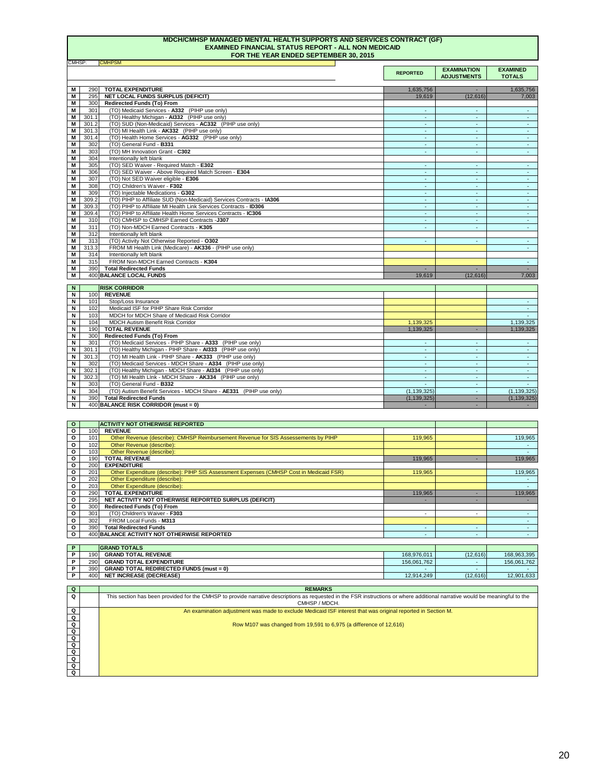## **MDCH/CMHSP MANAGED MENTAL HEALTH SUPPORTS AND SERVICES CONTRACT (GF) EXAMINED FINANCIAL STATUS REPORT - ALL NON MEDICAID FOR THE YEAR ENDED SEPTEMBER 30, 2015**

| Q                       | <b>REMARKS</b>                                                                                                                                                               |
|-------------------------|------------------------------------------------------------------------------------------------------------------------------------------------------------------------------|
| $\Omega$                | This section has been provided for the CMHSP to provide narrative descriptions as requested in the FSR instructions or where additional narrative would be meaningful to the |
|                         | CMHSP / MDCH.                                                                                                                                                                |
| Q                       | An examination adjustment was made to exclude Medicaid ISF interest that was original reported in Section M.                                                                 |
| Q                       |                                                                                                                                                                              |
| $\mathbf Q$             | Row M107 was changed from 19,591 to 6,975 (a difference of 12,616)                                                                                                           |
| $\mathbf Q$             |                                                                                                                                                                              |
| $\overline{\mathbf{Q}}$ |                                                                                                                                                                              |
| $\mathbf Q$             |                                                                                                                                                                              |
| $\overline{Q}$          |                                                                                                                                                                              |
| $\overline{\mathbf{Q}}$ |                                                                                                                                                                              |
| Q                       |                                                                                                                                                                              |
|                         |                                                                                                                                                                              |

**REPORTED EXAMINATION ADJUSTMENTS EXAMINED TOTALS M** 290 1,635,756 - 1,635,756 **TOTAL EXPENDITURE M** 295 19,619 (12,616) 7,003 **NET LOCAL FUNDS SURPLUS (DEFICIT) M** 300 **M** 301 - - - (TO) Medicaid Services - **A332** (PIHP use only) **M** 301.1 - - - (TO) Healthy Michigan - **AI332** (PIHP use only) **M** 301.2 - - - (TO) SUD (Non-Medicaid) Services - **AC332** (PIHP use only) **M** 301.3 - - - (TO) MI Health Link - **AK332** (PIHP use only) **M** 301.4 - - - (TO) Health Home Services - **AG332** (PIHP use only) **M** 302 - - - (TO) General Fund - **B331 M** 303 - - - (TO) MH Innovation Grant - **C302 M** 304 **M**  $\vert$  305  $\vert$  (TO) SED Waiver - Required Match - **E302**  $\vert$  . The contract of the contract of the contract of the contract of the contract of the contract of the contract of the contract of the contract of the contrac **M** 306 - - - (TO) SED Waiver - Above Required Match Screen - **E304 M** 307 - - - (TO) Not SED Waiver eligible - **E306 M** 308 - - - (TO) Children's Waiver - **F302 M**  $\vert$  309  $\vert$  (TO) Injectable Medications - **G302**  $\vert$  . The set of the set of the set of the set of the set of the set of the set of the set of the set of the set of the set of the set of the set of the set of the se **M** 309.2 - - - (TO) PIHP to Affiliate SUD (Non-Medicaid) Services Contracts - **IA306 M** 309.3 - - - (TO) PIHP to Affiliate MI Health Link Services Contracts - **ID306 M** 309.4 - - - (TO) PIHP to Affiliate Health Home Services Contracts - **IC306 M** 310 - - - (TO) CMHSP to CMHSP Earned Contracts -**J307 M** 311 - - - (TO) Non-MDCH Earned Contracts - **K305 M** 312 **M** 313 - - - (TO) Activity Not Otherwise Reported - **O302 M** 313.3 - FROM MI Health Link (Medicare) - **AK336** - (PIHP use only) **M** 314 **M** 315 - FROM Non-MDCH Earned Contracts - **K304 M**  $\vert$  390  $\vert$  Total Redirected Funds to the set of the set of the set of the set of the set of the set of the set of the set of the set of the set of the set of the set of the set of the set of the set of the set of th **M** 400 19,619 (12,616) 7,003 **BALANCE LOCAL FUNDS N N** 100 **REVENUE N** 101 - Stop/Loss Insurance **N** 102 - Medicaid ISF for PIHP Share Risk Corridor **N** | 103 MDCH for MDCH Share of Medicaid Risk Corridor **And Access 2006 12:00 MBC 2007 12:00 MBCH** 103 MBCH for MDCH Share of Medicaid Risk Corridor **N** | 104| MDCH Autism Benefit Risk Corridor 1,1<mark>39,325</mark> | 1,139,325 **N** 190 1,139,325 - 1,139,325 **TOTAL REVENUE N** 300 **N**  $\vert$  301  $\vert$  (TO) Medicaid Services - PIHP Share - **A333**  $\vert$ PIHP use only)  $\vert$  and the contract of the contract of the contract of the contract of the contract of the contract of the contract of the contract of the Intentionally left blank **Redirected Funds (To) From Redirected Funds (To) From RISK CORRIDOR**  Intentionally left blank Intentionally left blank

| IV I | <b>JU 11</b> | <b>I'D' Medicald Services - Firit Stiale - ASSS</b> (Firit use Office) |               |               |
|------|--------------|------------------------------------------------------------------------|---------------|---------------|
|      | 301.1        | (TO) Healthy Michigan - PIHP Share - AI333 (PIHP use only)             |               |               |
|      | 301.3        | (TO) MI Health Link - PIHP Share - AK333 (PIHP use only)               |               |               |
|      | 302          | (TO) Medicaid Services - MDCH Share - A334 (PIHP use only)             |               |               |
|      | 302.1        | (TO) Healthy Michigan - MDCH Share - AI334 (PIHP use only)             |               |               |
|      | 302.3        | (TO) MI Health Link - MDCH Share - AK334 (PIHP use only)               |               |               |
|      | 303          | (TO) General Fund - B332                                               |               |               |
|      | 304          | (TO) Autism Benefit Services - MDCH Share - AE331 (PIHP use only)      | (1, 139, 325) | (1, 139, 325) |
|      | 390          | <b>Total Redirected Funds</b>                                          | (1, 139, 325) | (1, 139, 325) |
|      |              | $400$ BALANCE RISK CORRIDOR (must = 0)                                 |               |               |

| $\mathbf{o}$ |                  | <b>ACTIVITY NOT OTHERWISE REPORTED</b>                                                  |         |   |         |
|--------------|------------------|-----------------------------------------------------------------------------------------|---------|---|---------|
| O            | 100 <sup>1</sup> | <b>REVENUE</b>                                                                          |         |   |         |
| O            | 101              | Other Revenue (describe): CMHSP Reimbursement Revenue for SIS Assessements by PIHP      | 119,965 |   | 119,965 |
| O            | 102              | Other Revenue (describe):                                                               |         |   |         |
| O            | 103              | Other Revenue (describe):                                                               |         |   |         |
| O            | 190              | <b>TOTAL REVENUE</b>                                                                    | 119,965 |   | 119,965 |
| O            | 200              | <b>EXPENDITURE</b>                                                                      |         |   |         |
| O            | 201              | Other Expenditure (describe): PIHP SIS Assessment Expenses (CMHSP Cost in Medicaid FSR) | 119,965 |   | 119,965 |
| O            | 202              | Other Expenditure (describe):                                                           |         |   |         |
| O            | 203              | Other Expenditure (describe):                                                           |         |   |         |
| O            | 290              | <b>TOTAL EXPENDITURE</b>                                                                | 119,965 |   | 119,965 |
| O            | 295              | NET ACTIVITY NOT OTHERWISE REPORTED SURPLUS (DEFICIT)                                   |         | - |         |
| 0            | 300              | <b>Redirected Funds (To) From</b>                                                       |         |   |         |
| O            | 301              | (TO) Children's Waiver - F303                                                           |         |   |         |
| O            | 302              | FROM Local Funds - M313                                                                 |         |   |         |
| O            | 390              | <b>Total Redirected Funds</b>                                                           |         |   |         |
| $\mathbf{O}$ |                  | 400 BALANCE ACTIVITY NOT OTHERWISE REPORTED                                             |         |   |         |

| <b>GRAND TOTALS</b> |                                                |             |          |             |
|---------------------|------------------------------------------------|-------------|----------|-------------|
| 190                 | <b>GRAND TOTAL REVENUE</b>                     | 168,976,011 | (12,616) | 168,963,395 |
| 290                 | <b>GRAND TOTAL EXPENDITURE</b>                 | 156,061,762 |          | 156,061,762 |
| 390                 | <b>GRAND TOTAL REDIRECTED FUNDS (must = 0)</b> |             |          |             |
| 400                 | <b>NET INCREASE (DECREASE)</b>                 | 12,914,249  | (12,616) | 12,901,633  |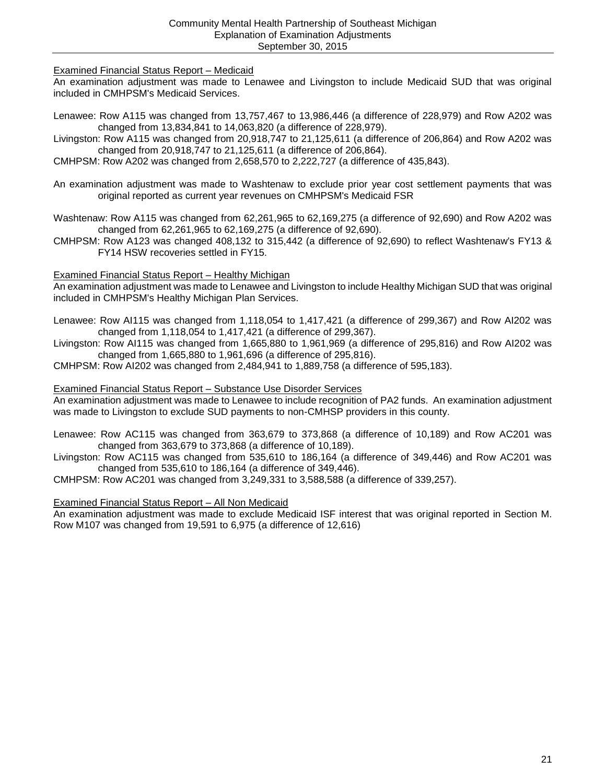Examined Financial Status Report – Medicaid

An examination adjustment was made to Lenawee and Livingston to include Medicaid SUD that was original included in CMHPSM's Medicaid Services.

- Lenawee: Row A115 was changed from 13,757,467 to 13,986,446 (a difference of 228,979) and Row A202 was changed from 13,834,841 to 14,063,820 (a difference of 228,979).
- Livingston: Row A115 was changed from 20,918,747 to 21,125,611 (a difference of 206,864) and Row A202 was changed from 20,918,747 to 21,125,611 (a difference of 206,864).
- CMHPSM: Row A202 was changed from 2,658,570 to 2,222,727 (a difference of 435,843).
- An examination adjustment was made to Washtenaw to exclude prior year cost settlement payments that was original reported as current year revenues on CMHPSM's Medicaid FSR
- Washtenaw: Row A115 was changed from 62,261,965 to 62,169,275 (a difference of 92,690) and Row A202 was changed from 62,261,965 to 62,169,275 (a difference of 92,690).
- CMHPSM: Row A123 was changed 408,132 to 315,442 (a difference of 92,690) to reflect Washtenaw's FY13 & FY14 HSW recoveries settled in FY15.

## Examined Financial Status Report – Healthy Michigan

An examination adjustment was made to Lenawee and Livingston to include Healthy Michigan SUD that was original included in CMHPSM's Healthy Michigan Plan Services.

- Lenawee: Row AI115 was changed from 1,118,054 to 1,417,421 (a difference of 299,367) and Row AI202 was changed from 1,118,054 to 1,417,421 (a difference of 299,367).
- Livingston: Row AI115 was changed from 1,665,880 to 1,961,969 (a difference of 295,816) and Row AI202 was changed from 1,665,880 to 1,961,696 (a difference of 295,816).

CMHPSM: Row AI202 was changed from 2,484,941 to 1,889,758 (a difference of 595,183).

## Examined Financial Status Report – Substance Use Disorder Services

An examination adjustment was made to Lenawee to include recognition of PA2 funds. An examination adjustment was made to Livingston to exclude SUD payments to non-CMHSP providers in this county.

- Lenawee: Row AC115 was changed from 363,679 to 373,868 (a difference of 10,189) and Row AC201 was changed from 363,679 to 373,868 (a difference of 10,189).
- Livingston: Row AC115 was changed from 535,610 to 186,164 (a difference of 349,446) and Row AC201 was changed from 535,610 to 186,164 (a difference of 349,446).

CMHPSM: Row AC201 was changed from 3,249,331 to 3,588,588 (a difference of 339,257).

## Examined Financial Status Report – All Non Medicaid

An examination adjustment was made to exclude Medicaid ISF interest that was original reported in Section M. Row M107 was changed from 19,591 to 6,975 (a difference of 12,616)